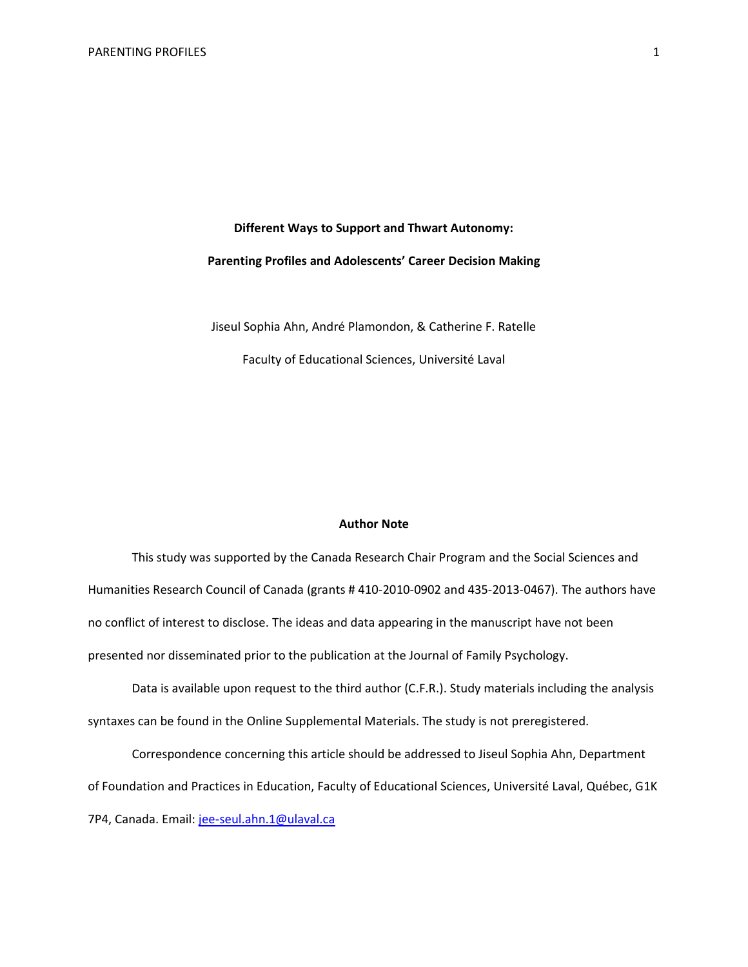# **Different Ways to Support and Thwart Autonomy: Parenting Profiles and Adolescents' Career Decision Making**

Jiseul Sophia Ahn, André Plamondon, & Catherine F. Ratelle Faculty of Educational Sciences, Université Laval

# **Author Note**

This study was supported by the Canada Research Chair Program and the Social Sciences and Humanities Research Council of Canada (grants # 410-2010-0902 and 435-2013-0467). The authors have no conflict of interest to disclose. The ideas and data appearing in the manuscript have not been presented nor disseminated prior to the publication at the Journal of Family Psychology.

Data is available upon request to the third author (C.F.R.). Study materials including the analysis syntaxes can be found in the Online Supplemental Materials. The study is not preregistered.

Correspondence concerning this article should be addressed to Jiseul Sophia Ahn, Department of Foundation and Practices in Education, Faculty of Educational Sciences, Université Laval, Québec, G1K 7P4, Canada. Email[: jee-seul.ahn.1@ulaval.ca](mailto:jee-seul.ahn.1@ulaval.ca)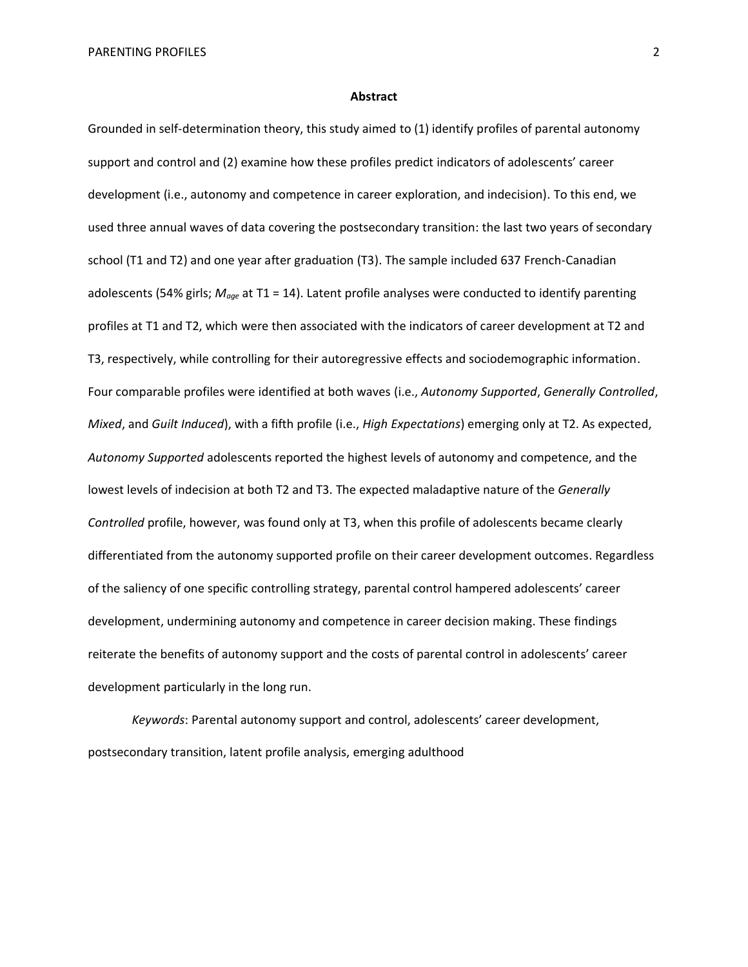#### **Abstract**

Grounded in self-determination theory, this study aimed to (1) identify profiles of parental autonomy support and control and (2) examine how these profiles predict indicators of adolescents' career development (i.e., autonomy and competence in career exploration, and indecision). To this end, we used three annual waves of data covering the postsecondary transition: the last two years of secondary school (T1 and T2) and one year after graduation (T3). The sample included 637 French-Canadian adolescents (54% girls; *Mage* at T1 = 14). Latent profile analyses were conducted to identify parenting profiles at T1 and T2, which were then associated with the indicators of career development at T2 and T3, respectively, while controlling for their autoregressive effects and sociodemographic information. Four comparable profiles were identified at both waves (i.e., *Autonomy Supported*, *Generally Controlled*, *Mixed*, and *Guilt Induced*), with a fifth profile (i.e., *High Expectations*) emerging only at T2. As expected, *Autonomy Supported* adolescents reported the highest levels of autonomy and competence, and the lowest levels of indecision at both T2 and T3. The expected maladaptive nature of the *Generally Controlled* profile, however, was found only at T3, when this profile of adolescents became clearly differentiated from the autonomy supported profile on their career development outcomes. Regardless of the saliency of one specific controlling strategy, parental control hampered adolescents' career development, undermining autonomy and competence in career decision making. These findings reiterate the benefits of autonomy support and the costs of parental control in adolescents' career development particularly in the long run.

*Keywords*: Parental autonomy support and control, adolescents' career development, postsecondary transition, latent profile analysis, emerging adulthood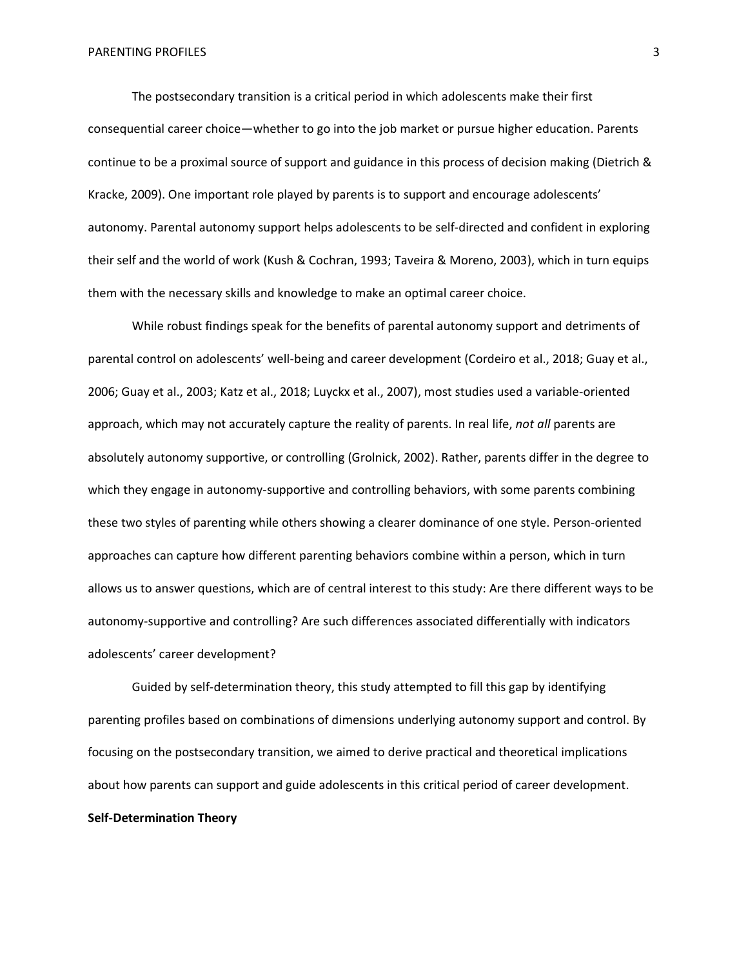The postsecondary transition is a critical period in which adolescents make their first consequential career choice—whether to go into the job market or pursue higher education. Parents continue to be a proximal source of support and guidance in this process of decision making (Dietrich & Kracke, 2009). One important role played by parents is to support and encourage adolescents' autonomy. Parental autonomy support helps adolescents to be self-directed and confident in exploring their self and the world of work (Kush & Cochran, 1993; Taveira & Moreno, 2003), which in turn equips them with the necessary skills and knowledge to make an optimal career choice.

While robust findings speak for the benefits of parental autonomy support and detriments of parental control on adolescents' well-being and career development (Cordeiro et al., 2018; Guay et al., 2006; Guay et al., 2003; Katz et al., 2018; Luyckx et al., 2007), most studies used a variable-oriented approach, which may not accurately capture the reality of parents. In real life, *not all* parents are absolutely autonomy supportive, or controlling (Grolnick, 2002). Rather, parents differ in the degree to which they engage in autonomy-supportive and controlling behaviors, with some parents combining these two styles of parenting while others showing a clearer dominance of one style. Person-oriented approaches can capture how different parenting behaviors combine within a person, which in turn allows us to answer questions, which are of central interest to this study: Are there different ways to be autonomy-supportive and controlling? Are such differences associated differentially with indicators adolescents' career development?

Guided by self-determination theory, this study attempted to fill this gap by identifying parenting profiles based on combinations of dimensions underlying autonomy support and control. By focusing on the postsecondary transition, we aimed to derive practical and theoretical implications about how parents can support and guide adolescents in this critical period of career development. **Self-Determination Theory**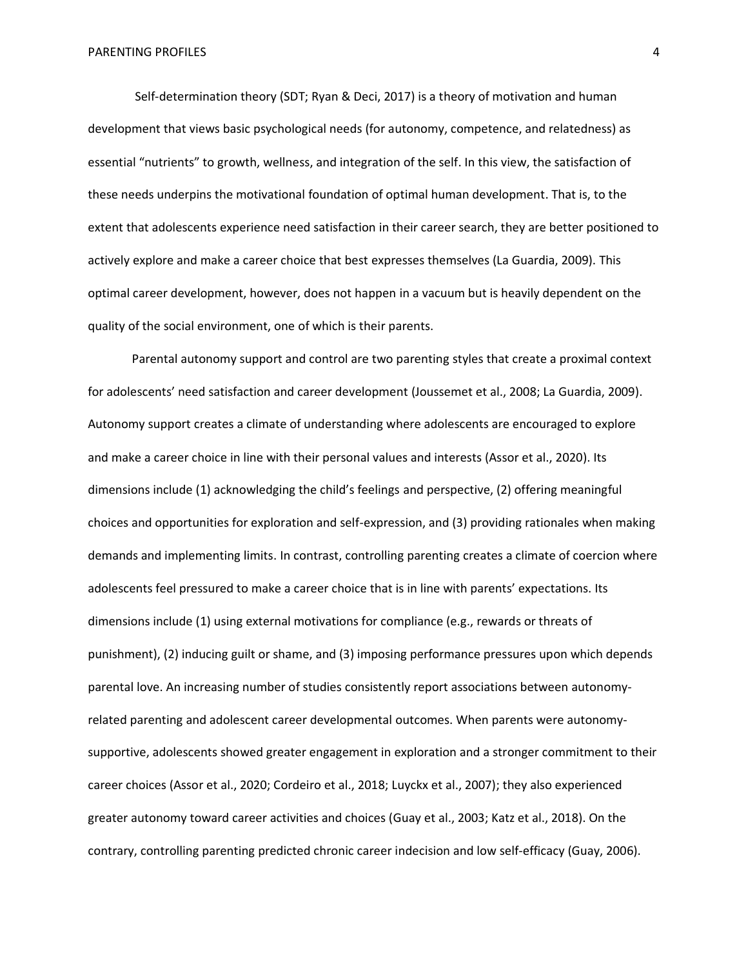Self-determination theory (SDT; Ryan & Deci, 2017) is a theory of motivation and human development that views basic psychological needs (for autonomy, competence, and relatedness) as essential "nutrients" to growth, wellness, and integration of the self. In this view, the satisfaction of these needs underpins the motivational foundation of optimal human development. That is, to the extent that adolescents experience need satisfaction in their career search, they are better positioned to actively explore and make a career choice that best expresses themselves (La Guardia, 2009). This optimal career development, however, does not happen in a vacuum but is heavily dependent on the quality of the social environment, one of which is their parents.

Parental autonomy support and control are two parenting styles that create a proximal context for adolescents' need satisfaction and career development (Joussemet et al., 2008; La Guardia, 2009). Autonomy support creates a climate of understanding where adolescents are encouraged to explore and make a career choice in line with their personal values and interests (Assor et al., 2020). Its dimensions include (1) acknowledging the child's feelings and perspective, (2) offering meaningful choices and opportunities for exploration and self-expression, and (3) providing rationales when making demands and implementing limits. In contrast, controlling parenting creates a climate of coercion where adolescents feel pressured to make a career choice that is in line with parents' expectations. Its dimensions include (1) using external motivations for compliance (e.g., rewards or threats of punishment), (2) inducing guilt or shame, and (3) imposing performance pressures upon which depends parental love. An increasing number of studies consistently report associations between autonomyrelated parenting and adolescent career developmental outcomes. When parents were autonomysupportive, adolescents showed greater engagement in exploration and a stronger commitment to their career choices (Assor et al., 2020; Cordeiro et al., 2018; Luyckx et al., 2007); they also experienced greater autonomy toward career activities and choices (Guay et al., 2003; Katz et al., 2018). On the contrary, controlling parenting predicted chronic career indecision and low self-efficacy (Guay, 2006).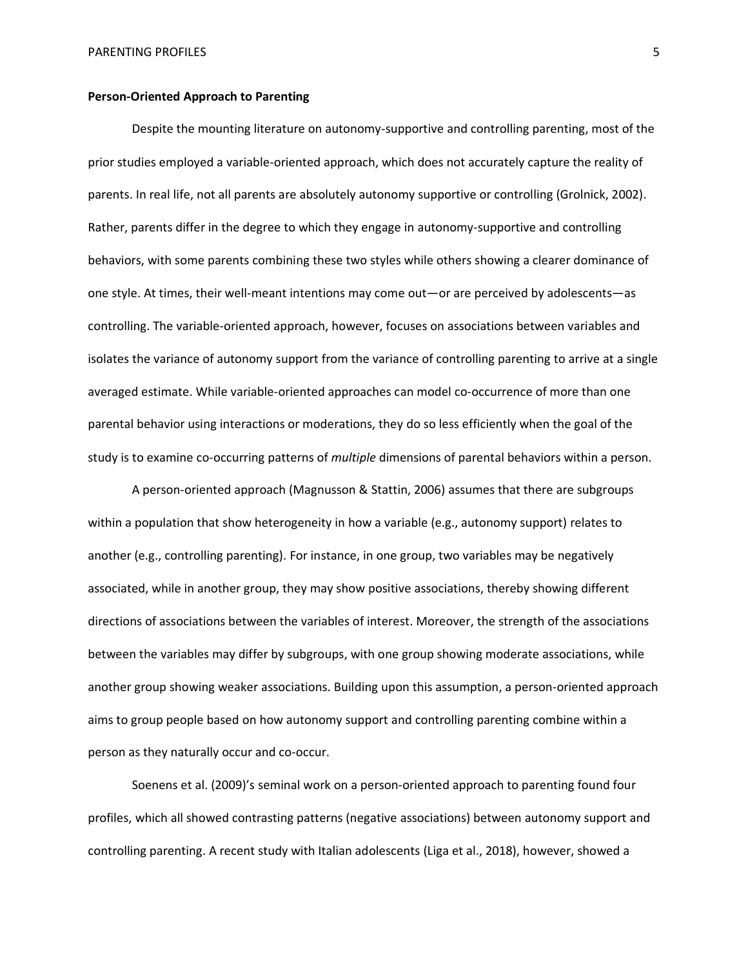# **Person-Oriented Approach to Parenting**

Despite the mounting literature on autonomy-supportive and controlling parenting, most of the prior studies employed a variable-oriented approach, which does not accurately capture the reality of parents. In real life, not all parents are absolutely autonomy supportive or controlling (Grolnick, 2002). Rather, parents differ in the degree to which they engage in autonomy-supportive and controlling behaviors, with some parents combining these two styles while others showing a clearer dominance of one style. At times, their well-meant intentions may come out—or are perceived by adolescents—as controlling. The variable-oriented approach, however, focuses on associations between variables and isolates the variance of autonomy support from the variance of controlling parenting to arrive at a single averaged estimate. While variable-oriented approaches can model co-occurrence of more than one parental behavior using interactions or moderations, they do so less efficiently when the goal of the study is to examine co-occurring patterns of *multiple* dimensions of parental behaviors within a person.

A person-oriented approach (Magnusson & Stattin, 2006) assumes that there are subgroups within a population that show heterogeneity in how a variable (e.g., autonomy support) relates to another (e.g., controlling parenting). For instance, in one group, two variables may be negatively associated, while in another group, they may show positive associations, thereby showing different directions of associations between the variables of interest. Moreover, the strength of the associations between the variables may differ by subgroups, with one group showing moderate associations, while another group showing weaker associations. Building upon this assumption, a person-oriented approach aims to group people based on how autonomy support and controlling parenting combine within a person as they naturally occur and co-occur.

Soenens et al. (2009)'s seminal work on a person-oriented approach to parenting found four profiles, which all showed contrasting patterns (negative associations) between autonomy support and controlling parenting. A recent study with Italian adolescents (Liga et al., 2018), however, showed a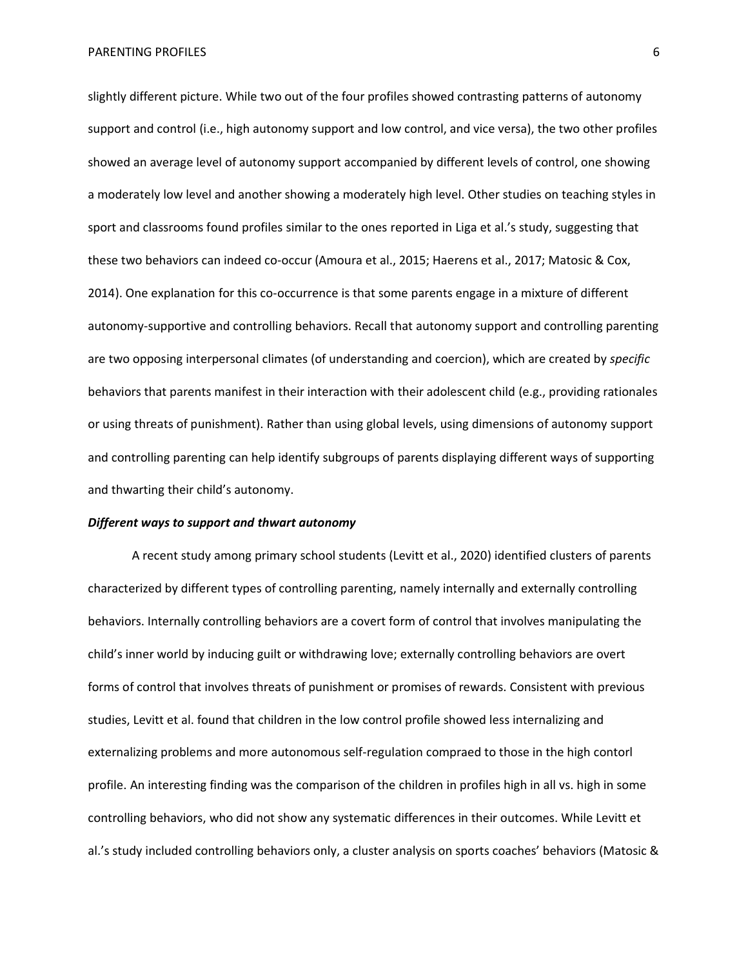slightly different picture. While two out of the four profiles showed contrasting patterns of autonomy support and control (i.e., high autonomy support and low control, and vice versa), the two other profiles showed an average level of autonomy support accompanied by different levels of control, one showing a moderately low level and another showing a moderately high level. Other studies on teaching styles in sport and classrooms found profiles similar to the ones reported in Liga et al.'s study, suggesting that these two behaviors can indeed co-occur (Amoura et al., 2015; Haerens et al., 2017; Matosic & Cox, 2014). One explanation for this co-occurrence is that some parents engage in a mixture of different autonomy-supportive and controlling behaviors. Recall that autonomy support and controlling parenting are two opposing interpersonal climates (of understanding and coercion), which are created by *specific* behaviors that parents manifest in their interaction with their adolescent child (e.g., providing rationales or using threats of punishment). Rather than using global levels, using dimensions of autonomy support and controlling parenting can help identify subgroups of parents displaying different ways of supporting and thwarting their child's autonomy.

# *Different ways to support and thwart autonomy*

A recent study among primary school students (Levitt et al., 2020) identified clusters of parents characterized by different types of controlling parenting, namely internally and externally controlling behaviors. Internally controlling behaviors are a covert form of control that involves manipulating the child's inner world by inducing guilt or withdrawing love; externally controlling behaviors are overt forms of control that involves threats of punishment or promises of rewards. Consistent with previous studies, Levitt et al. found that children in the low control profile showed less internalizing and externalizing problems and more autonomous self-regulation compraed to those in the high contorl profile. An interesting finding was the comparison of the children in profiles high in all vs. high in some controlling behaviors, who did not show any systematic differences in their outcomes. While Levitt et al.'s study included controlling behaviors only, a cluster analysis on sports coaches' behaviors (Matosic &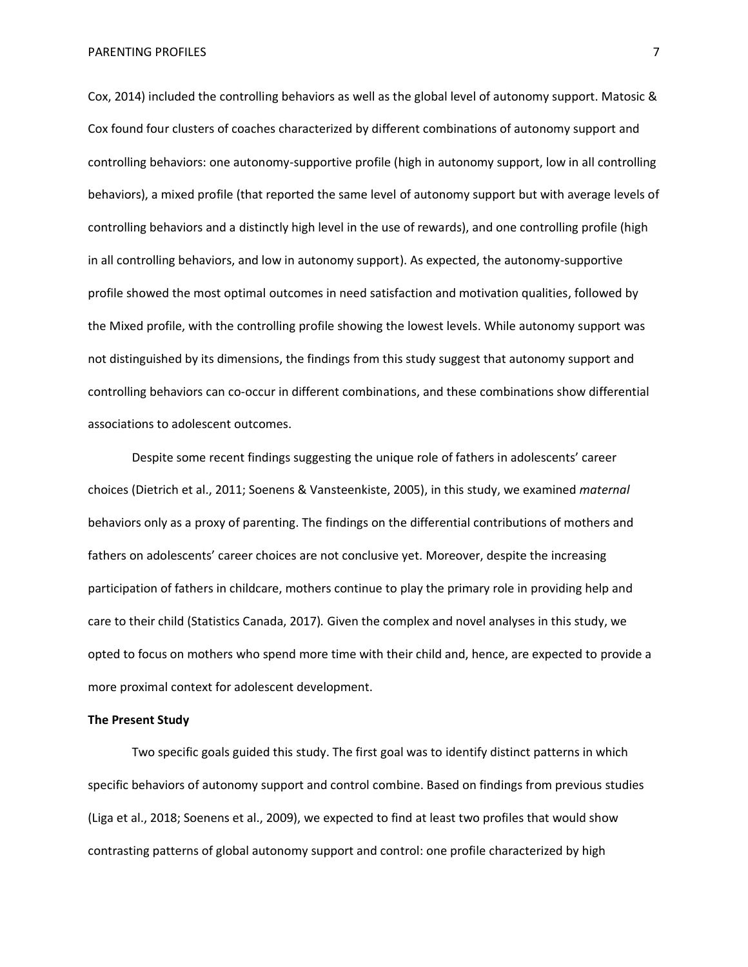PARENTING PROFILES **The State of the State of Table 1999 7 7** 

Cox, 2014) included the controlling behaviors as well as the global level of autonomy support. Matosic & Cox found four clusters of coaches characterized by different combinations of autonomy support and controlling behaviors: one autonomy-supportive profile (high in autonomy support, low in all controlling behaviors), a mixed profile (that reported the same level of autonomy support but with average levels of controlling behaviors and a distinctly high level in the use of rewards), and one controlling profile (high in all controlling behaviors, and low in autonomy support). As expected, the autonomy-supportive profile showed the most optimal outcomes in need satisfaction and motivation qualities, followed by the Mixed profile, with the controlling profile showing the lowest levels. While autonomy support was not distinguished by its dimensions, the findings from this study suggest that autonomy support and controlling behaviors can co-occur in different combinations, and these combinations show differential associations to adolescent outcomes.

Despite some recent findings suggesting the unique role of fathers in adolescents' career choices (Dietrich et al., 2011; Soenens & Vansteenkiste, 2005), in this study, we examined *maternal* behaviors only as a proxy of parenting. The findings on the differential contributions of mothers and fathers on adolescents' career choices are not conclusive yet. Moreover, despite the increasing participation of fathers in childcare, mothers continue to play the primary role in providing help and care to their child (Statistics Canada, 2017)*.* Given the complex and novel analyses in this study, we opted to focus on mothers who spend more time with their child and, hence, are expected to provide a more proximal context for adolescent development.

# **The Present Study**

Two specific goals guided this study. The first goal was to identify distinct patterns in which specific behaviors of autonomy support and control combine. Based on findings from previous studies (Liga et al., 2018; Soenens et al., 2009), we expected to find at least two profiles that would show contrasting patterns of global autonomy support and control: one profile characterized by high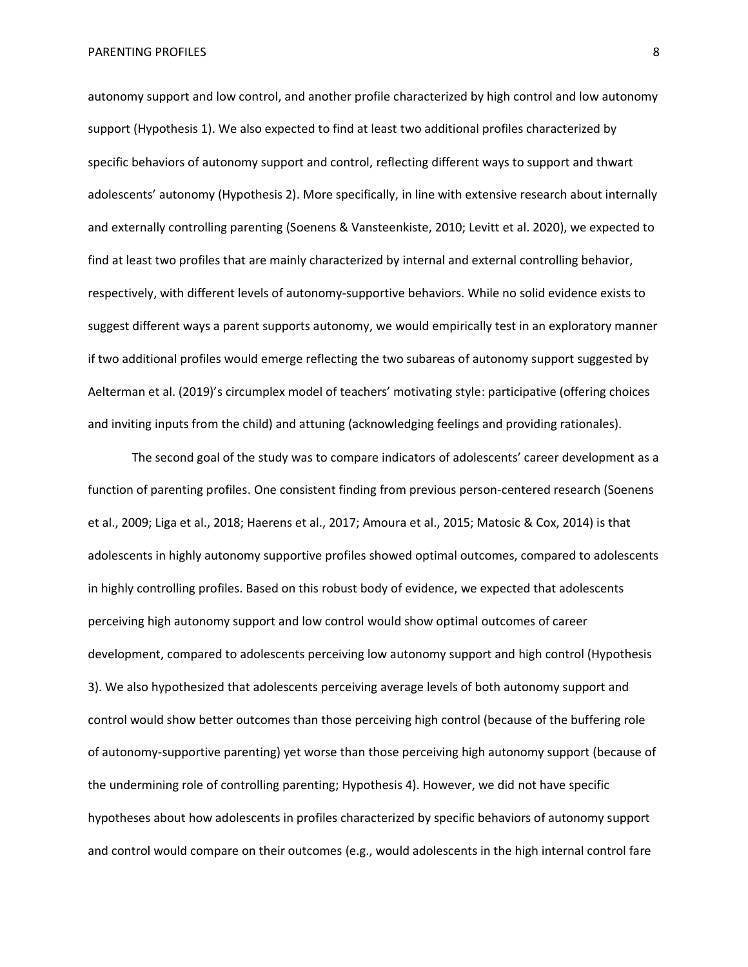autonomy support and low control, and another profile characterized by high control and low autonomy support (Hypothesis 1). We also expected to find at least two additional profiles characterized by specific behaviors of autonomy support and control, reflecting different ways to support and thwart adolescents' autonomy (Hypothesis 2). More specifically, in line with extensive research about internally and externally controlling parenting (Soenens & Vansteenkiste, 2010; Levitt et al. 2020), we expected to find at least two profiles that are mainly characterized by internal and external controlling behavior, respectively, with different levels of autonomy-supportive behaviors. While no solid evidence exists to suggest different ways a parent supports autonomy, we would empirically test in an exploratory manner if two additional profiles would emerge reflecting the two subareas of autonomy support suggested by Aelterman et al. (2019)'s circumplex model of teachers' motivating style: participative (offering choices and inviting inputs from the child) and attuning (acknowledging feelings and providing rationales).

The second goal of the study was to compare indicators of adolescents' career development as a function of parenting profiles. One consistent finding from previous person-centered research (Soenens et al., 2009; Liga et al., 2018; Haerens et al., 2017; Amoura et al., 2015; Matosic & Cox, 2014) is that adolescents in highly autonomy supportive profiles showed optimal outcomes, compared to adolescents in highly controlling profiles. Based on this robust body of evidence, we expected that adolescents perceiving high autonomy support and low control would show optimal outcomes of career development, compared to adolescents perceiving low autonomy support and high control (Hypothesis 3). We also hypothesized that adolescents perceiving average levels of both autonomy support and control would show better outcomes than those perceiving high control (because of the buffering role of autonomy-supportive parenting) yet worse than those perceiving high autonomy support (because of the undermining role of controlling parenting; Hypothesis 4). However, we did not have specific hypotheses about how adolescents in profiles characterized by specific behaviors of autonomy support and control would compare on their outcomes (e.g., would adolescents in the high internal control fare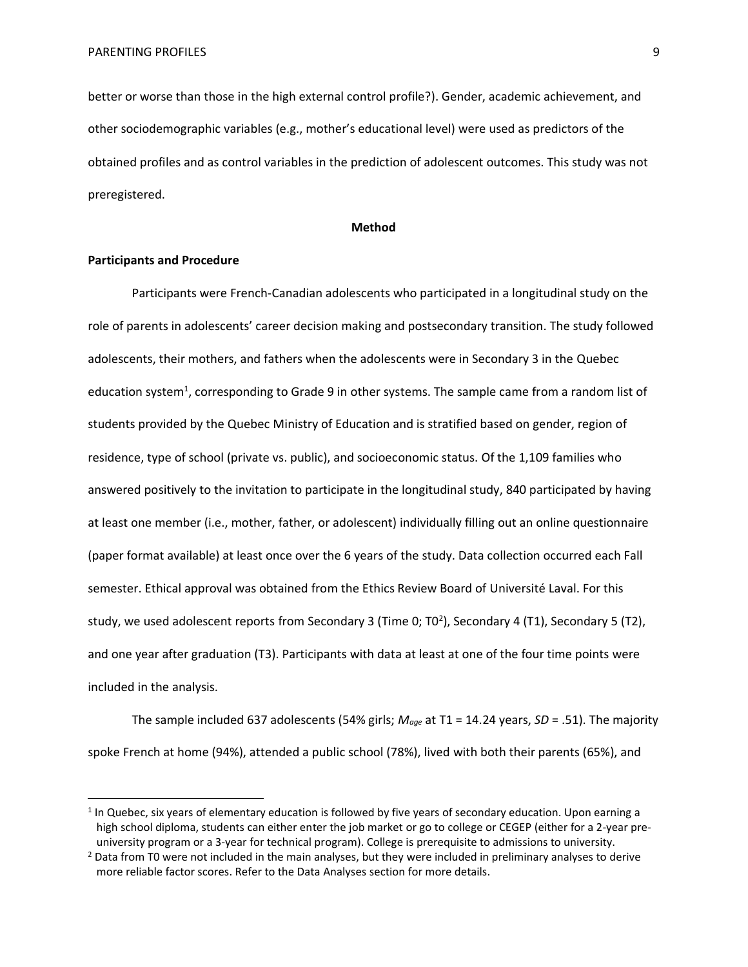better or worse than those in the high external control profile?). Gender, academic achievement, and other sociodemographic variables (e.g., mother's educational level) were used as predictors of the obtained profiles and as control variables in the prediction of adolescent outcomes. This study was not preregistered.

#### **Method**

# **Participants and Procedure**

Participants were French-Canadian adolescents who participated in a longitudinal study on the role of parents in adolescents' career decision making and postsecondary transition. The study followed adolescents, their mothers, and fathers when the adolescents were in Secondary 3 in the Quebec education system<sup>1</sup>, corresponding to Grade 9 in other systems. The sample came from a random list of students provided by the Quebec Ministry of Education and is stratified based on gender, region of residence, type of school (private vs. public), and socioeconomic status. Of the 1,109 families who answered positively to the invitation to participate in the longitudinal study, 840 participated by having at least one member (i.e., mother, father, or adolescent) individually filling out an online questionnaire (paper format available) at least once over the 6 years of the study. Data collection occurred each Fall semester. Ethical approval was obtained from the Ethics Review Board of Université Laval. For this study, we used adolescent reports from Secondary 3 (Time 0; T0<sup>2</sup>), Secondary 4 (T1), Secondary 5 (T2), and one year after graduation (T3). Participants with data at least at one of the four time points were included in the analysis.

The sample included 637 adolescents (54% girls; *Mage* at T1 = 14.24 years, *SD* = .51). The majority spoke French at home (94%), attended a public school (78%), lived with both their parents (65%), and

<sup>&</sup>lt;sup>1</sup> In Quebec, six years of elementary education is followed by five years of secondary education. Upon earning a high school diploma, students can either enter the job market or go to college or CEGEP (either for a 2-year preuniversity program or a 3-year for technical program). College is prerequisite to admissions to university.

<sup>&</sup>lt;sup>2</sup> Data from T0 were not included in the main analyses, but they were included in preliminary analyses to derive more reliable factor scores. Refer to the Data Analyses section for more details.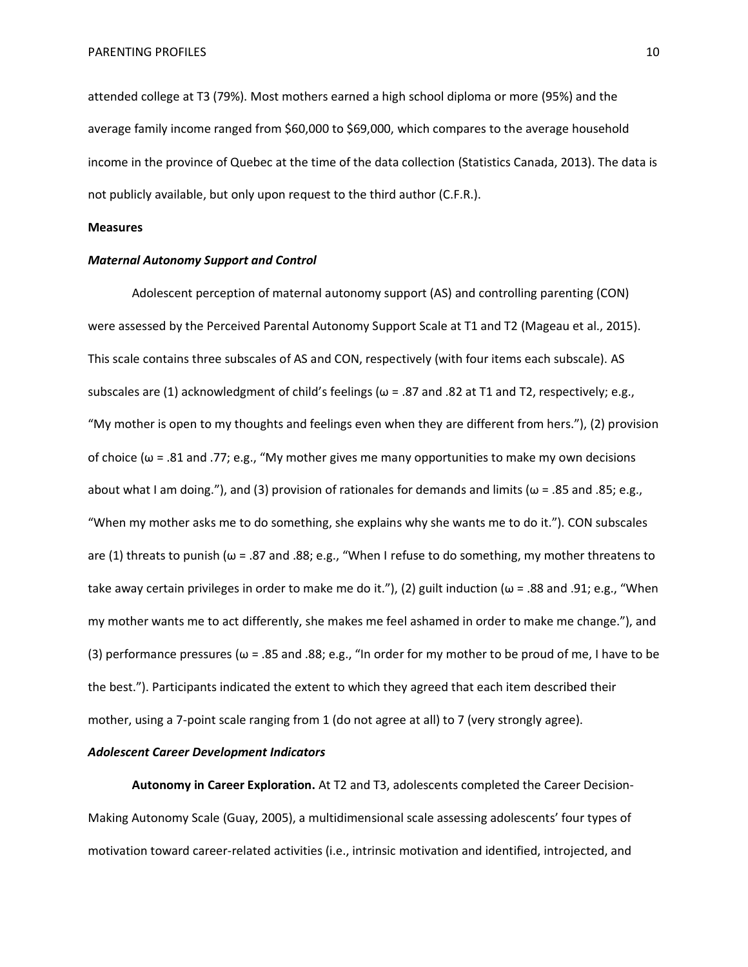attended college at T3 (79%). Most mothers earned a high school diploma or more (95%) and the average family income ranged from \$60,000 to \$69,000, which compares to the average household income in the province of Quebec at the time of the data collection (Statistics Canada, 2013). The data is not publicly available, but only upon request to the third author (C.F.R.).

# **Measures**

#### *Maternal Autonomy Support and Control*

Adolescent perception of maternal autonomy support (AS) and controlling parenting (CON) were assessed by the Perceived Parental Autonomy Support Scale at T1 and T2 (Mageau et al., 2015). This scale contains three subscales of AS and CON, respectively (with four items each subscale). AS subscales are (1) acknowledgment of child's feelings ( $\omega$  = .87 and .82 at T1 and T2, respectively; e.g., "My mother is open to my thoughts and feelings even when they are different from hers."), (2) provision of choice ( $\omega$  = .81 and .77; e.g., "My mother gives me many opportunities to make my own decisions about what I am doing."), and (3) provision of rationales for demands and limits ( $\omega$  = .85 and .85; e.g., "When my mother asks me to do something, she explains why she wants me to do it."). CON subscales are (1) threats to punish ( $\omega$  = .87 and .88; e.g., "When I refuse to do something, my mother threatens to take away certain privileges in order to make me do it."), (2) guilt induction ( $\omega$  = .88 and .91; e.g., "When my mother wants me to act differently, she makes me feel ashamed in order to make me change."), and (3) performance pressures ( $\omega$  = .85 and .88; e.g., "In order for my mother to be proud of me, I have to be the best."). Participants indicated the extent to which they agreed that each item described their mother, using a 7-point scale ranging from 1 (do not agree at all) to 7 (very strongly agree).

# *Adolescent Career Development Indicators*

**Autonomy in Career Exploration.** At T2 and T3, adolescents completed the Career Decision-Making Autonomy Scale (Guay, 2005), a multidimensional scale assessing adolescents' four types of motivation toward career-related activities (i.e., intrinsic motivation and identified, introjected, and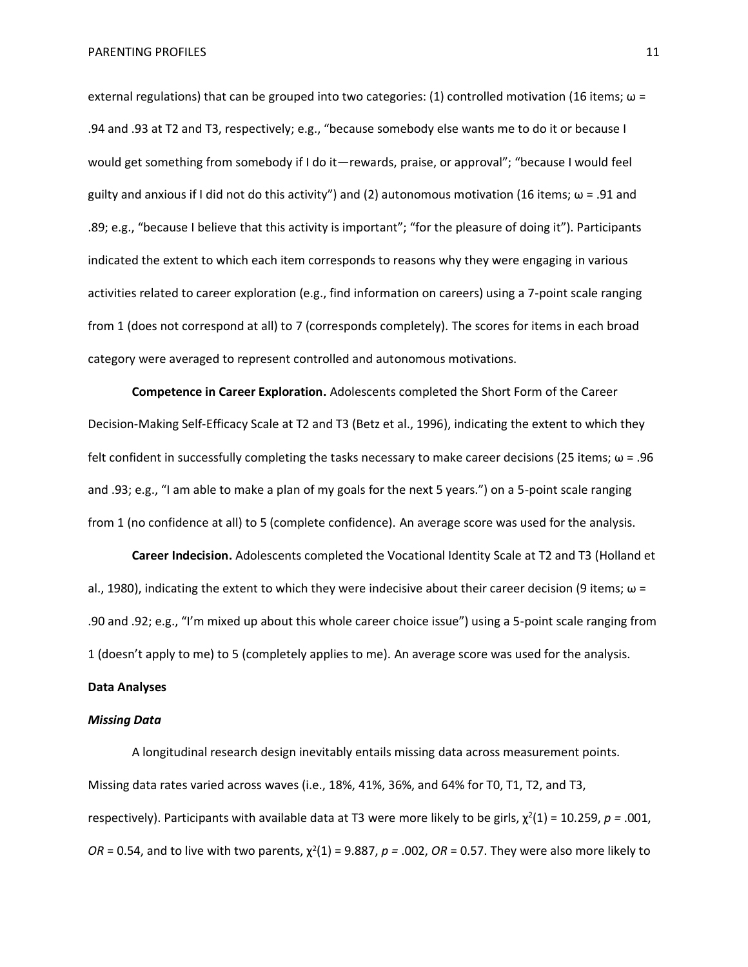external regulations) that can be grouped into two categories: (1) controlled motivation (16 items;  $\omega$  = .94 and .93 at T2 and T3, respectively; e.g., "because somebody else wants me to do it or because I would get something from somebody if I do it—rewards, praise, or approval"; "because I would feel guilty and anxious if I did not do this activity") and (2) autonomous motivation (16 items;  $\omega$  = .91 and .89; e.g., "because I believe that this activity is important"; "for the pleasure of doing it"). Participants indicated the extent to which each item corresponds to reasons why they were engaging in various activities related to career exploration (e.g., find information on careers) using a 7-point scale ranging from 1 (does not correspond at all) to 7 (corresponds completely). The scores for items in each broad category were averaged to represent controlled and autonomous motivations.

**Competence in Career Exploration.** Adolescents completed the Short Form of the Career Decision-Making Self-Efficacy Scale at T2 and T3 (Betz et al., 1996), indicating the extent to which they felt confident in successfully completing the tasks necessary to make career decisions (25 items;  $\omega$  = .96 and .93; e.g., "I am able to make a plan of my goals for the next 5 years.") on a 5-point scale ranging from 1 (no confidence at all) to 5 (complete confidence). An average score was used for the analysis.

**Career Indecision.** Adolescents completed the Vocational Identity Scale at T2 and T3 (Holland et al., 1980), indicating the extent to which they were indecisive about their career decision (9 items;  $\omega$  = .90 and .92; e.g., "I'm mixed up about this whole career choice issue") using a 5-point scale ranging from 1 (doesn't apply to me) to 5 (completely applies to me). An average score was used for the analysis.

# **Data Analyses**

# *Missing Data*

A longitudinal research design inevitably entails missing data across measurement points. Missing data rates varied across waves (i.e., 18%, 41%, 36%, and 64% for T0, T1, T2, and T3, respectively). Participants with available data at T3 were more likely to be girls,  $\chi^2(1)$  = 10.259, *p* = .001,  $OR = 0.54$ , and to live with two parents,  $\chi^2(1) = 9.887$ ,  $p = .002$ ,  $OR = 0.57$ . They were also more likely to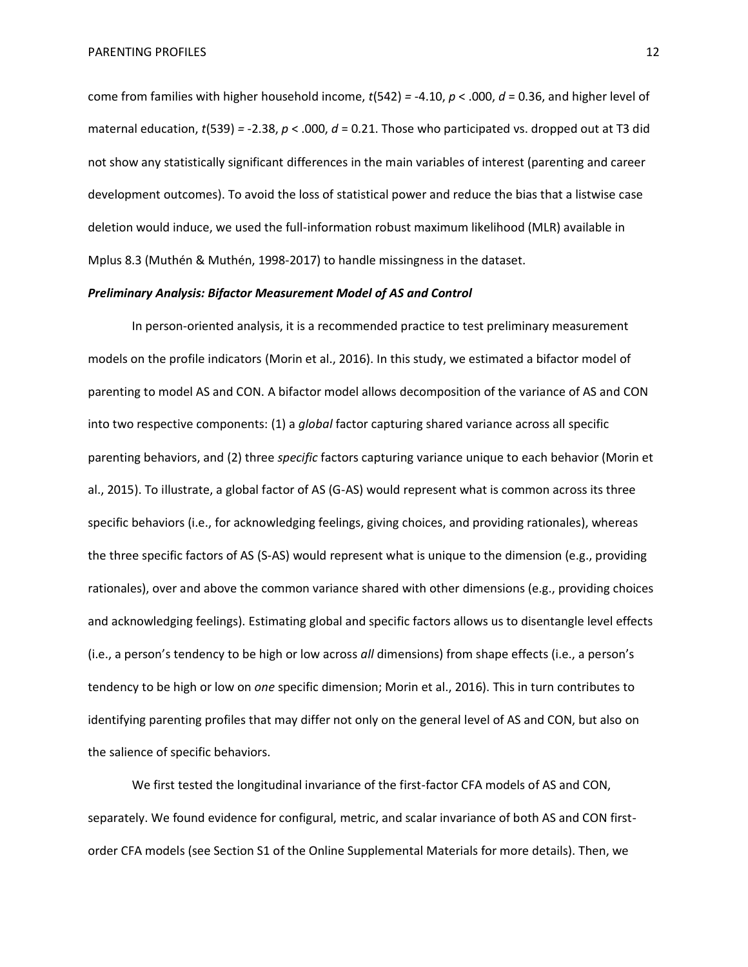come from families with higher household income, *t*(542) *=* -4.10, *p* < .000, *d* = 0.36, and higher level of maternal education, *t*(539) *=* -2.38, *p* < .000, *d* = 0.21. Those who participated vs. dropped out at T3 did not show any statistically significant differences in the main variables of interest (parenting and career development outcomes). To avoid the loss of statistical power and reduce the bias that a listwise case deletion would induce, we used the full-information robust maximum likelihood (MLR) available in Mplus 8.3 (Muthén & Muthén, 1998-2017) to handle missingness in the dataset.

# *Preliminary Analysis: Bifactor Measurement Model of AS and Control*

In person-oriented analysis, it is a recommended practice to test preliminary measurement models on the profile indicators (Morin et al., 2016). In this study, we estimated a bifactor model of parenting to model AS and CON. A bifactor model allows decomposition of the variance of AS and CON into two respective components: (1) a *global* factor capturing shared variance across all specific parenting behaviors, and (2) three *specific* factors capturing variance unique to each behavior (Morin et al., 2015). To illustrate, a global factor of AS (G-AS) would represent what is common across its three specific behaviors (i.e., for acknowledging feelings, giving choices, and providing rationales), whereas the three specific factors of AS (S-AS) would represent what is unique to the dimension (e.g., providing rationales), over and above the common variance shared with other dimensions (e.g., providing choices and acknowledging feelings). Estimating global and specific factors allows us to disentangle level effects (i.e., a person's tendency to be high or low across *all* dimensions) from shape effects (i.e., a person's tendency to be high or low on *one* specific dimension; Morin et al., 2016). This in turn contributes to identifying parenting profiles that may differ not only on the general level of AS and CON, but also on the salience of specific behaviors.

We first tested the longitudinal invariance of the first-factor CFA models of AS and CON, separately. We found evidence for configural, metric, and scalar invariance of both AS and CON firstorder CFA models (see Section S1 of the Online Supplemental Materials for more details). Then, we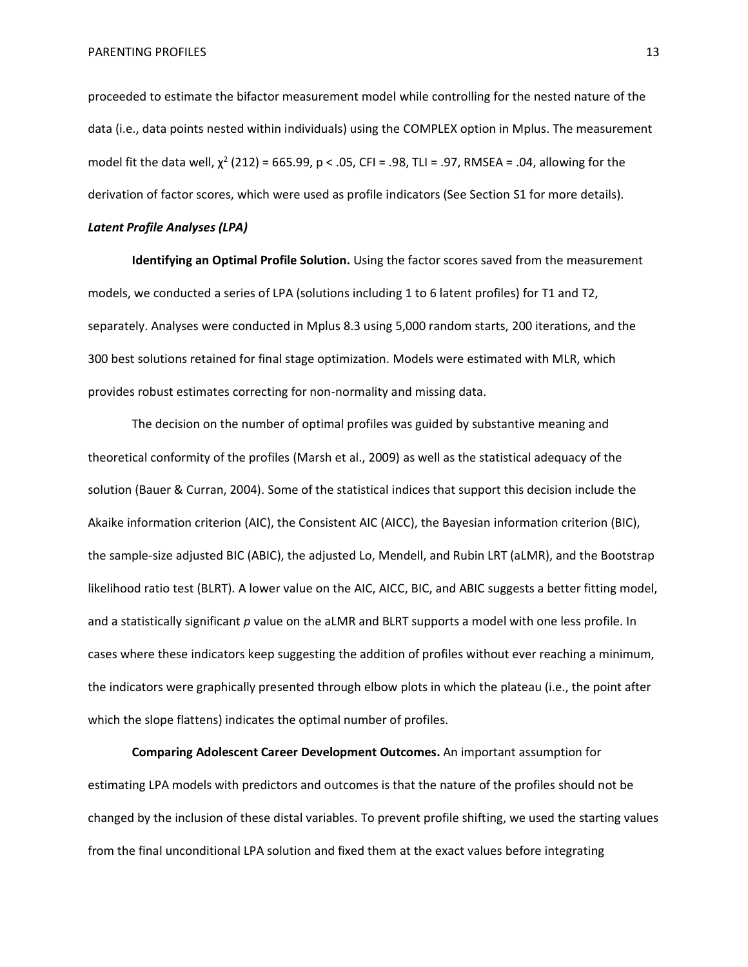proceeded to estimate the bifactor measurement model while controlling for the nested nature of the data (i.e., data points nested within individuals) using the COMPLEX option in Mplus. The measurement model fit the data well,  $\chi^2$  (212) = 665.99, p < .05, CFI = .98, TLI = .97, RMSEA = .04, allowing for the derivation of factor scores, which were used as profile indicators (See Section S1 for more details).

# *Latent Profile Analyses (LPA)*

**Identifying an Optimal Profile Solution.** Using the factor scores saved from the measurement models, we conducted a series of LPA (solutions including 1 to 6 latent profiles) for T1 and T2, separately. Analyses were conducted in Mplus 8.3 using 5,000 random starts, 200 iterations, and the 300 best solutions retained for final stage optimization. Models were estimated with MLR, which provides robust estimates correcting for non-normality and missing data.

The decision on the number of optimal profiles was guided by substantive meaning and theoretical conformity of the profiles (Marsh et al., 2009) as well as the statistical adequacy of the solution (Bauer & Curran, 2004). Some of the statistical indices that support this decision include the Akaike information criterion (AIC), the Consistent AIC (AICC), the Bayesian information criterion (BIC), the sample-size adjusted BIC (ABIC), the adjusted Lo, Mendell, and Rubin LRT (aLMR), and the Bootstrap likelihood ratio test (BLRT). A lower value on the AIC, AICC, BIC, and ABIC suggests a better fitting model, and a statistically significant *p* value on the aLMR and BLRT supports a model with one less profile. In cases where these indicators keep suggesting the addition of profiles without ever reaching a minimum, the indicators were graphically presented through elbow plots in which the plateau (i.e., the point after which the slope flattens) indicates the optimal number of profiles.

**Comparing Adolescent Career Development Outcomes.** An important assumption for estimating LPA models with predictors and outcomes is that the nature of the profiles should not be changed by the inclusion of these distal variables. To prevent profile shifting, we used the starting values from the final unconditional LPA solution and fixed them at the exact values before integrating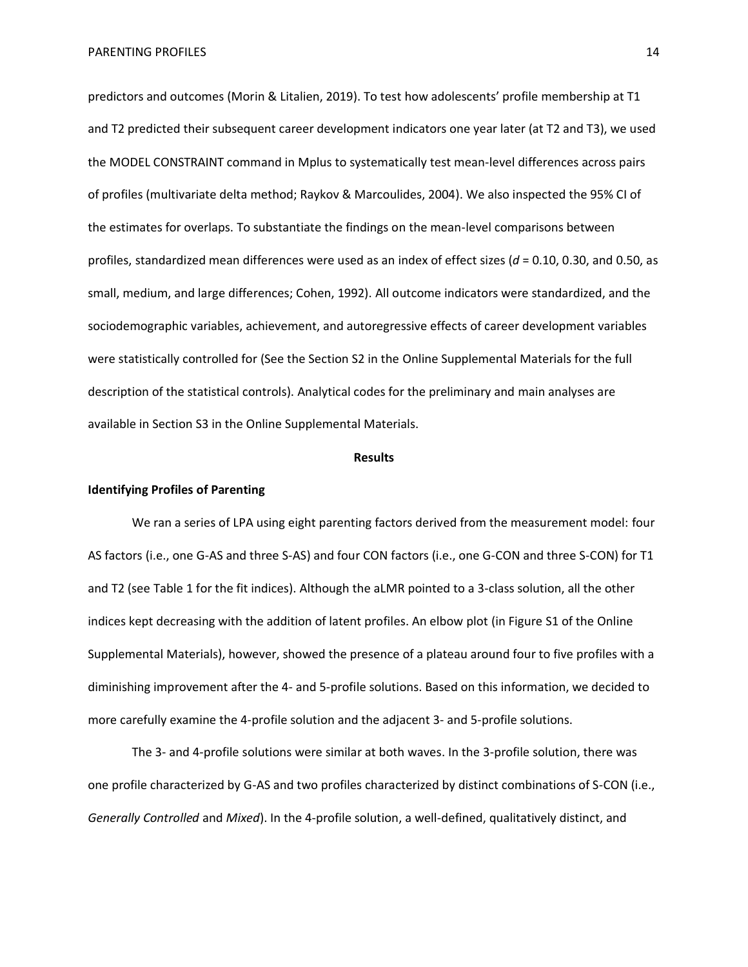predictors and outcomes (Morin & Litalien, 2019). To test how adolescents' profile membership at T1 and T2 predicted their subsequent career development indicators one year later (at T2 and T3), we used the MODEL CONSTRAINT command in Mplus to systematically test mean-level differences across pairs of profiles (multivariate delta method; Raykov & Marcoulides, 2004). We also inspected the 95% CI of the estimates for overlaps. To substantiate the findings on the mean-level comparisons between profiles, standardized mean differences were used as an index of effect sizes (*d* = 0.10, 0.30, and 0.50, as small, medium, and large differences; Cohen, 1992). All outcome indicators were standardized, and the sociodemographic variables, achievement, and autoregressive effects of career development variables were statistically controlled for (See the Section S2 in the Online Supplemental Materials for the full description of the statistical controls). Analytical codes for the preliminary and main analyses are available in Section S3 in the Online Supplemental Materials.

#### **Results**

# **Identifying Profiles of Parenting**

We ran a series of LPA using eight parenting factors derived from the measurement model: four AS factors (i.e., one G-AS and three S-AS) and four CON factors (i.e., one G-CON and three S-CON) for T1 and T2 (see Table 1 for the fit indices). Although the aLMR pointed to a 3-class solution, all the other indices kept decreasing with the addition of latent profiles. An elbow plot (in Figure S1 of the Online Supplemental Materials), however, showed the presence of a plateau around four to five profiles with a diminishing improvement after the 4- and 5-profile solutions. Based on this information, we decided to more carefully examine the 4-profile solution and the adjacent 3- and 5-profile solutions.

The 3- and 4-profile solutions were similar at both waves. In the 3-profile solution, there was one profile characterized by G-AS and two profiles characterized by distinct combinations of S-CON (i.e., *Generally Controlled* and *Mixed*). In the 4-profile solution, a well-defined, qualitatively distinct, and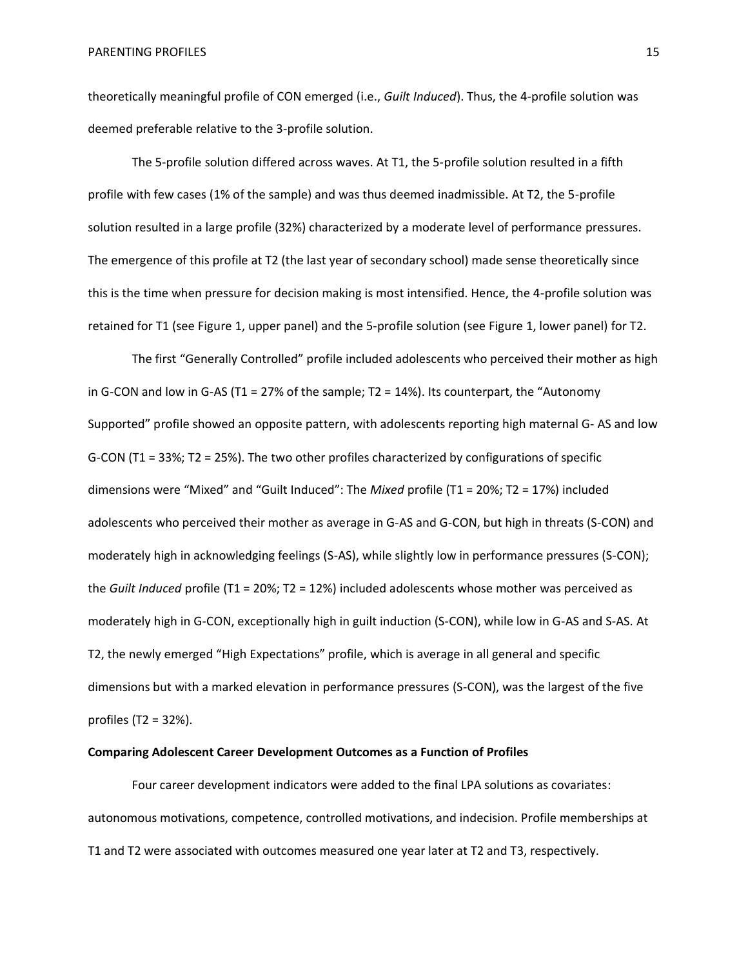theoretically meaningful profile of CON emerged (i.e., *Guilt Induced*). Thus, the 4-profile solution was deemed preferable relative to the 3-profile solution.

The 5-profile solution differed across waves. At T1, the 5-profile solution resulted in a fifth profile with few cases (1% of the sample) and was thus deemed inadmissible. At T2, the 5-profile solution resulted in a large profile (32%) characterized by a moderate level of performance pressures. The emergence of this profile at T2 (the last year of secondary school) made sense theoretically since this is the time when pressure for decision making is most intensified. Hence, the 4-profile solution was retained for T1 (see Figure 1, upper panel) and the 5-profile solution (see Figure 1, lower panel) for T2.

The first "Generally Controlled" profile included adolescents who perceived their mother as high in G-CON and low in G-AS (T1 = 27% of the sample; T2 = 14%). Its counterpart, the "Autonomy Supported" profile showed an opposite pattern, with adolescents reporting high maternal G- AS and low G-CON (T1 = 33%; T2 = 25%). The two other profiles characterized by configurations of specific dimensions were "Mixed" and "Guilt Induced": The *Mixed* profile (T1 = 20%; T2 = 17%) included adolescents who perceived their mother as average in G-AS and G-CON, but high in threats (S-CON) and moderately high in acknowledging feelings (S-AS), while slightly low in performance pressures (S-CON); the *Guilt Induced* profile (T1 = 20%; T2 = 12%) included adolescents whose mother was perceived as moderately high in G-CON, exceptionally high in guilt induction (S-CON), while low in G-AS and S-AS. At T2, the newly emerged "High Expectations" profile, which is average in all general and specific dimensions but with a marked elevation in performance pressures (S-CON), was the largest of the five profiles (T2 = 32%).

# **Comparing Adolescent Career Development Outcomes as a Function of Profiles**

Four career development indicators were added to the final LPA solutions as covariates: autonomous motivations, competence, controlled motivations, and indecision. Profile memberships at T1 and T2 were associated with outcomes measured one year later at T2 and T3, respectively.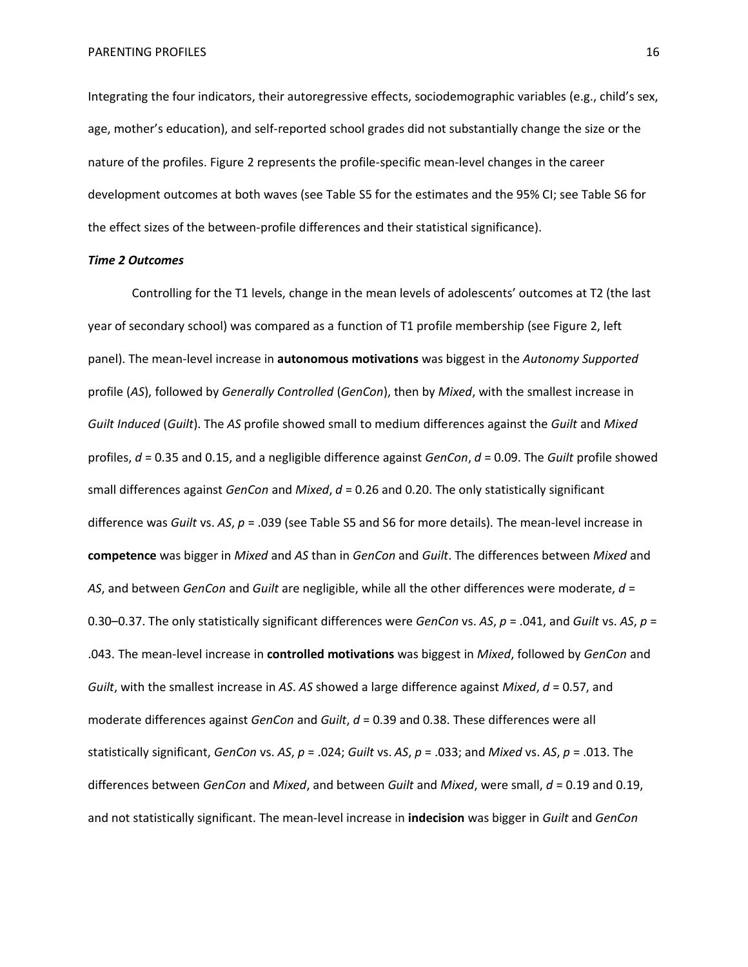Integrating the four indicators, their autoregressive effects, sociodemographic variables (e.g., child's sex, age, mother's education), and self-reported school grades did not substantially change the size or the nature of the profiles. Figure 2 represents the profile-specific mean-level changes in the career development outcomes at both waves (see Table S5 for the estimates and the 95% CI; see Table S6 for the effect sizes of the between-profile differences and their statistical significance).

#### *Time 2 Outcomes*

Controlling for the T1 levels, change in the mean levels of adolescents' outcomes at T2 (the last year of secondary school) was compared as a function of T1 profile membership (see Figure 2, left panel). The mean-level increase in **autonomous motivations** was biggest in the *Autonomy Supported* profile (*AS*), followed by *Generally Controlled* (*GenCon*), then by *Mixed*, with the smallest increase in *Guilt Induced* (*Guilt*). The *AS* profile showed small to medium differences against the *Guilt* and *Mixed* profiles, *d* = 0.35 and 0.15, and a negligible difference against *GenCon*, *d* = 0.09. The *Guilt* profile showed small differences against *GenCon* and *Mixed*, *d* = 0.26 and 0.20. The only statistically significant difference was *Guilt* vs. *AS*, *p* = .039 (see Table S5 and S6 for more details). The mean-level increase in **competence** was bigger in *Mixed* and *AS* than in *GenCon* and *Guilt*. The differences between *Mixed* and *AS*, and between *GenCon* and *Guilt* are negligible, while all the other differences were moderate, *d* = 0.30–0.37. The only statistically significant differences were *GenCon* vs. *AS*, *p* = .041, and *Guilt* vs. *AS*, *p* = .043. The mean-level increase in **controlled motivations** was biggest in *Mixed*, followed by *GenCon* and *Guilt*, with the smallest increase in *AS*. *AS* showed a large difference against *Mixed*, *d* = 0.57, and moderate differences against *GenCon* and *Guilt*, *d* = 0.39 and 0.38. These differences were all statistically significant, *GenCon* vs. *AS*, *p* = .024; *Guilt* vs. *AS*, *p* = .033; and *Mixed* vs. *AS*, *p* = .013. The differences between *GenCon* and *Mixed*, and between *Guilt* and *Mixed*, were small, *d* = 0.19 and 0.19, and not statistically significant. The mean-level increase in **indecision** was bigger in *Guilt* and *GenCon*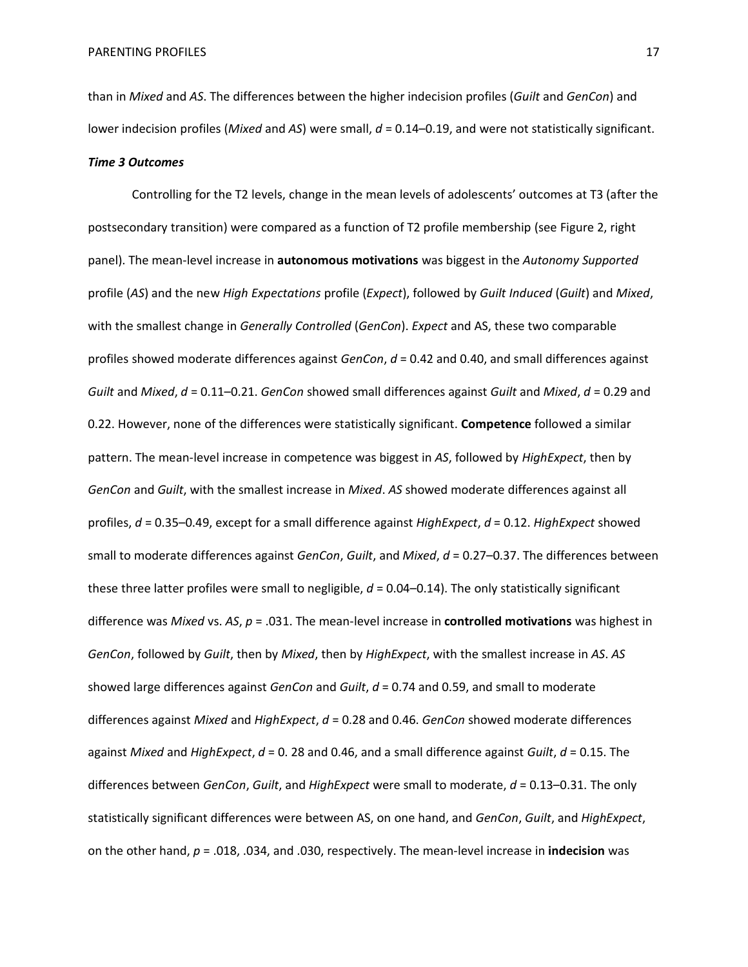than in *Mixed* and *AS*. The differences between the higher indecision profiles (*Guilt* and *GenCon*) and lower indecision profiles (*Mixed* and *AS*) were small, *d* = 0.14–0.19, and were not statistically significant. *Time 3 Outcomes*

Controlling for the T2 levels, change in the mean levels of adolescents' outcomes at T3 (after the postsecondary transition) were compared as a function of T2 profile membership (see Figure 2, right panel). The mean-level increase in **autonomous motivations** was biggest in the *Autonomy Supported* profile (*AS*) and the new *High Expectations* profile (*Expect*), followed by *Guilt Induced* (*Guilt*) and *Mixed*, with the smallest change in *Generally Controlled* (*GenCon*). *Expect* and AS, these two comparable profiles showed moderate differences against *GenCon*, *d* = 0.42 and 0.40, and small differences against *Guilt* and *Mixed*, *d* = 0.11–0.21. *GenCon* showed small differences against *Guilt* and *Mixed*, *d* = 0.29 and 0.22. However, none of the differences were statistically significant. **Competence** followed a similar pattern. The mean-level increase in competence was biggest in *AS*, followed by *HighExpect*, then by *GenCon* and *Guilt*, with the smallest increase in *Mixed*. *AS* showed moderate differences against all profiles, *d* = 0.35–0.49, except for a small difference against *HighExpect*, *d* = 0.12. *HighExpect* showed small to moderate differences against *GenCon*, *Guilt*, and *Mixed*, *d* = 0.27–0.37. The differences between these three latter profiles were small to negligible, *d* = 0.04–0.14). The only statistically significant difference was *Mixed* vs. *AS*, *p* = .031. The mean-level increase in **controlled motivations** was highest in *GenCon*, followed by *Guilt*, then by *Mixed*, then by *HighExpect*, with the smallest increase in *AS*. *AS* showed large differences against *GenCon* and *Guilt*, *d* = 0.74 and 0.59, and small to moderate differences against *Mixed* and *HighExpect*, *d* = 0.28 and 0.46. *GenCon* showed moderate differences against *Mixed* and *HighExpect*, *d* = 0. 28 and 0.46, and a small difference against *Guilt*, *d* = 0.15. The differences between *GenCon*, *Guilt*, and *HighExpect* were small to moderate, *d* = 0.13–0.31. The only statistically significant differences were between AS, on one hand, and *GenCon*, *Guilt*, and *HighExpect*, on the other hand, *p* = .018, .034, and .030, respectively. The mean-level increase in **indecision** was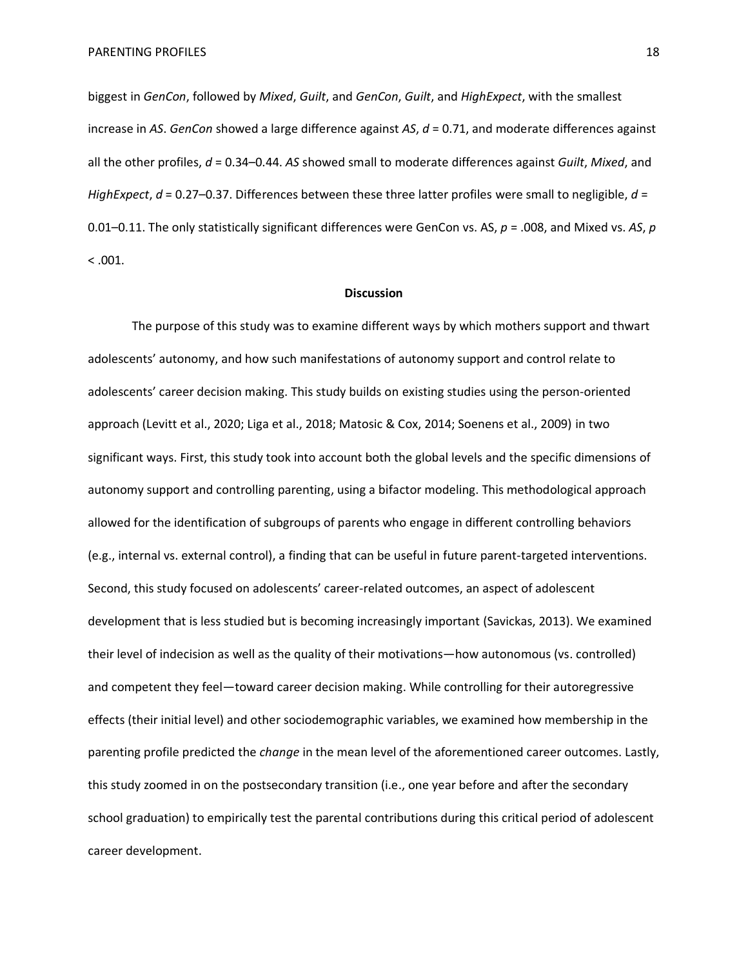biggest in *GenCon*, followed by *Mixed*, *Guilt*, and *GenCon*, *Guilt*, and *HighExpect*, with the smallest increase in *AS*. *GenCon* showed a large difference against *AS*, *d* = 0.71, and moderate differences against all the other profiles, *d* = 0.34–0.44. *AS* showed small to moderate differences against *Guilt*, *Mixed*, and *HighExpect*, *d* = 0.27–0.37. Differences between these three latter profiles were small to negligible, *d* = 0.01–0.11. The only statistically significant differences were GenCon vs. AS, *p* = .008, and Mixed vs. *AS*, *p*   $< 0.001$ .

#### **Discussion**

The purpose of this study was to examine different ways by which mothers support and thwart adolescents' autonomy, and how such manifestations of autonomy support and control relate to adolescents' career decision making. This study builds on existing studies using the person-oriented approach (Levitt et al., 2020; Liga et al., 2018; Matosic & Cox, 2014; Soenens et al., 2009) in two significant ways. First, this study took into account both the global levels and the specific dimensions of autonomy support and controlling parenting, using a bifactor modeling. This methodological approach allowed for the identification of subgroups of parents who engage in different controlling behaviors (e.g., internal vs. external control), a finding that can be useful in future parent-targeted interventions. Second, this study focused on adolescents' career-related outcomes, an aspect of adolescent development that is less studied but is becoming increasingly important (Savickas, 2013). We examined their level of indecision as well as the quality of their motivations—how autonomous (vs. controlled) and competent they feel—toward career decision making. While controlling for their autoregressive effects (their initial level) and other sociodemographic variables, we examined how membership in the parenting profile predicted the *change* in the mean level of the aforementioned career outcomes. Lastly, this study zoomed in on the postsecondary transition (i.e., one year before and after the secondary school graduation) to empirically test the parental contributions during this critical period of adolescent career development.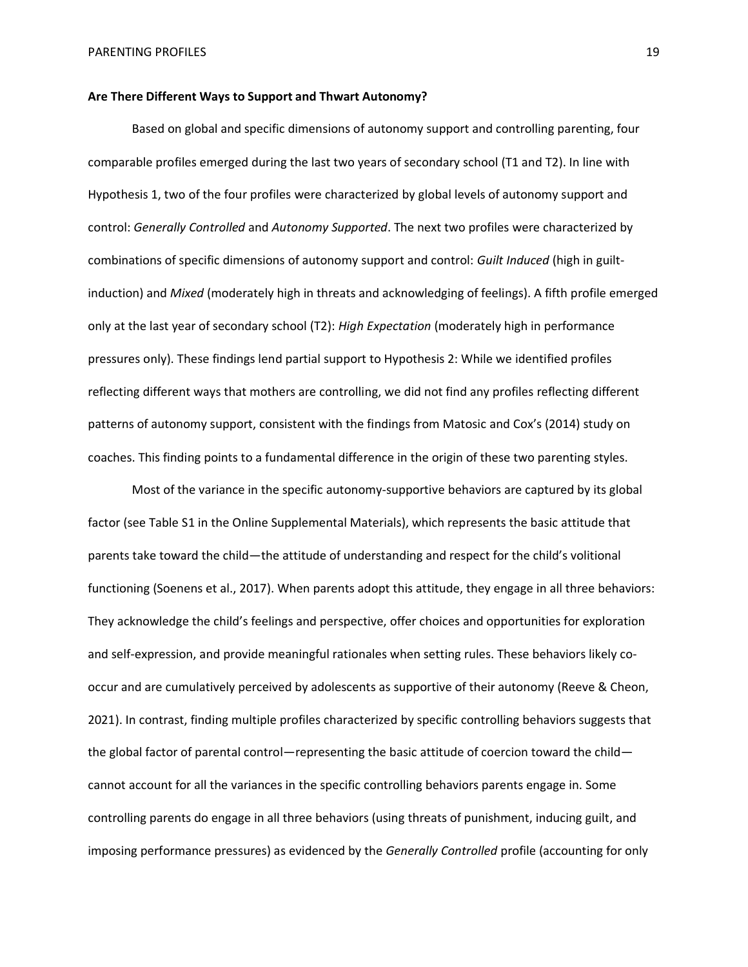# **Are There Different Ways to Support and Thwart Autonomy?**

Based on global and specific dimensions of autonomy support and controlling parenting, four comparable profiles emerged during the last two years of secondary school (T1 and T2). In line with Hypothesis 1, two of the four profiles were characterized by global levels of autonomy support and control: *Generally Controlled* and *Autonomy Supported*. The next two profiles were characterized by combinations of specific dimensions of autonomy support and control: *Guilt Induced* (high in guiltinduction) and *Mixed* (moderately high in threats and acknowledging of feelings). A fifth profile emerged only at the last year of secondary school (T2): *High Expectation* (moderately high in performance pressures only). These findings lend partial support to Hypothesis 2: While we identified profiles reflecting different ways that mothers are controlling, we did not find any profiles reflecting different patterns of autonomy support, consistent with the findings from Matosic and Cox's (2014) study on coaches. This finding points to a fundamental difference in the origin of these two parenting styles.

Most of the variance in the specific autonomy-supportive behaviors are captured by its global factor (see Table S1 in the Online Supplemental Materials), which represents the basic attitude that parents take toward the child—the attitude of understanding and respect for the child's volitional functioning (Soenens et al., 2017). When parents adopt this attitude, they engage in all three behaviors: They acknowledge the child's feelings and perspective, offer choices and opportunities for exploration and self-expression, and provide meaningful rationales when setting rules. These behaviors likely cooccur and are cumulatively perceived by adolescents as supportive of their autonomy (Reeve & Cheon, 2021). In contrast, finding multiple profiles characterized by specific controlling behaviors suggests that the global factor of parental control—representing the basic attitude of coercion toward the child cannot account for all the variances in the specific controlling behaviors parents engage in. Some controlling parents do engage in all three behaviors (using threats of punishment, inducing guilt, and imposing performance pressures) as evidenced by the *Generally Controlled* profile (accounting for only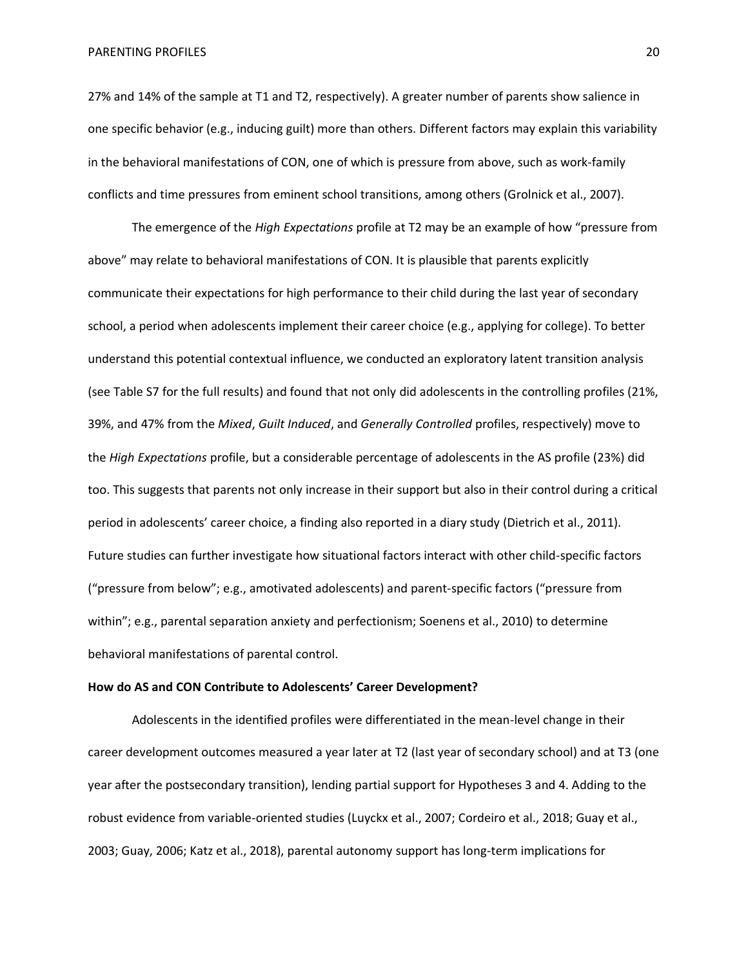27% and 14% of the sample at T1 and T2, respectively). A greater number of parents show salience in one specific behavior (e.g., inducing guilt) more than others. Different factors may explain this variability in the behavioral manifestations of CON, one of which is pressure from above, such as work-family conflicts and time pressures from eminent school transitions, among others (Grolnick et al., 2007).

The emergence of the *High Expectations* profile at T2 may be an example of how "pressure from above" may relate to behavioral manifestations of CON. It is plausible that parents explicitly communicate their expectations for high performance to their child during the last year of secondary school, a period when adolescents implement their career choice (e.g., applying for college). To better understand this potential contextual influence, we conducted an exploratory latent transition analysis (see Table S7 for the full results) and found that not only did adolescents in the controlling profiles (21%, 39%, and 47% from the *Mixed*, *Guilt Induced*, and *Generally Controlled* profiles, respectively) move to the *High Expectations* profile, but a considerable percentage of adolescents in the AS profile (23%) did too. This suggests that parents not only increase in their support but also in their control during a critical period in adolescents' career choice, a finding also reported in a diary study (Dietrich et al., 2011). Future studies can further investigate how situational factors interact with other child-specific factors ("pressure from below"; e.g., amotivated adolescents) and parent-specific factors ("pressure from within"; e.g., parental separation anxiety and perfectionism; Soenens et al., 2010) to determine behavioral manifestations of parental control.

#### **How do AS and CON Contribute to Adolescents' Career Development?**

Adolescents in the identified profiles were differentiated in the mean-level change in their career development outcomes measured a year later at T2 (last year of secondary school) and at T3 (one year after the postsecondary transition), lending partial support for Hypotheses 3 and 4. Adding to the robust evidence from variable-oriented studies (Luyckx et al., 2007; Cordeiro et al., 2018; Guay et al., 2003; Guay, 2006; Katz et al., 2018), parental autonomy support has long-term implications for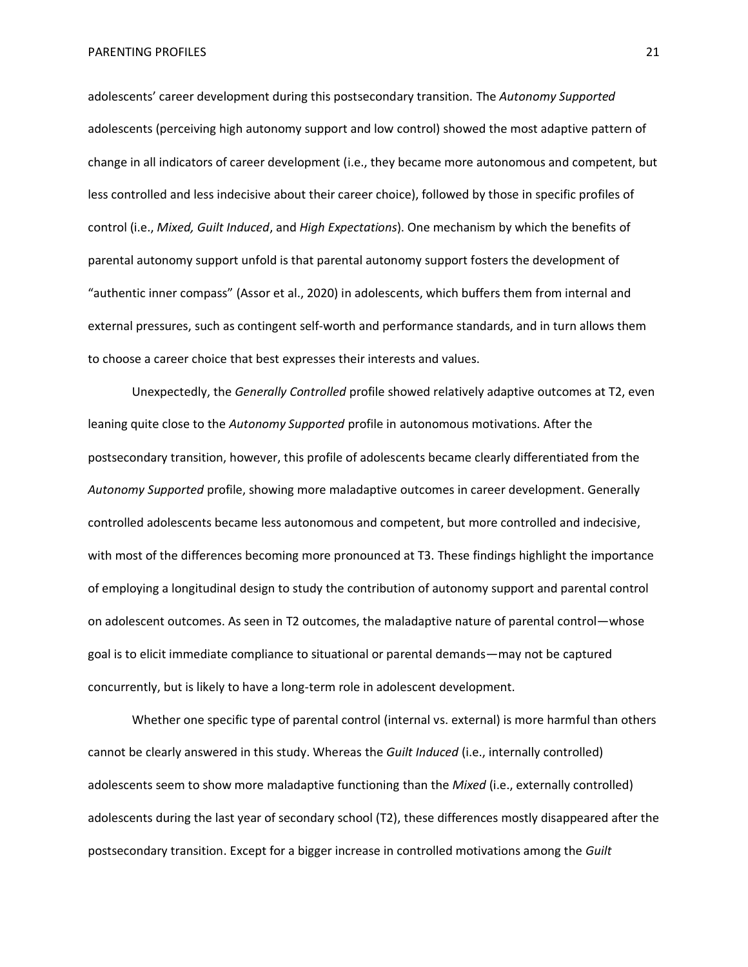adolescents' career development during this postsecondary transition. The *Autonomy Supported* adolescents (perceiving high autonomy support and low control) showed the most adaptive pattern of change in all indicators of career development (i.e., they became more autonomous and competent, but less controlled and less indecisive about their career choice), followed by those in specific profiles of control (i.e., *Mixed, Guilt Induced*, and *High Expectations*). One mechanism by which the benefits of parental autonomy support unfold is that parental autonomy support fosters the development of "authentic inner compass" (Assor et al., 2020) in adolescents, which buffers them from internal and external pressures, such as contingent self-worth and performance standards, and in turn allows them to choose a career choice that best expresses their interests and values.

Unexpectedly, the *Generally Controlled* profile showed relatively adaptive outcomes at T2, even leaning quite close to the *Autonomy Supported* profile in autonomous motivations. After the postsecondary transition, however, this profile of adolescents became clearly differentiated from the *Autonomy Supported* profile, showing more maladaptive outcomes in career development. Generally controlled adolescents became less autonomous and competent, but more controlled and indecisive, with most of the differences becoming more pronounced at T3. These findings highlight the importance of employing a longitudinal design to study the contribution of autonomy support and parental control on adolescent outcomes. As seen in T2 outcomes, the maladaptive nature of parental control—whose goal is to elicit immediate compliance to situational or parental demands—may not be captured concurrently, but is likely to have a long-term role in adolescent development.

Whether one specific type of parental control (internal vs. external) is more harmful than others cannot be clearly answered in this study. Whereas the *Guilt Induced* (i.e., internally controlled) adolescents seem to show more maladaptive functioning than the *Mixed* (i.e., externally controlled) adolescents during the last year of secondary school (T2), these differences mostly disappeared after the postsecondary transition. Except for a bigger increase in controlled motivations among the *Guilt*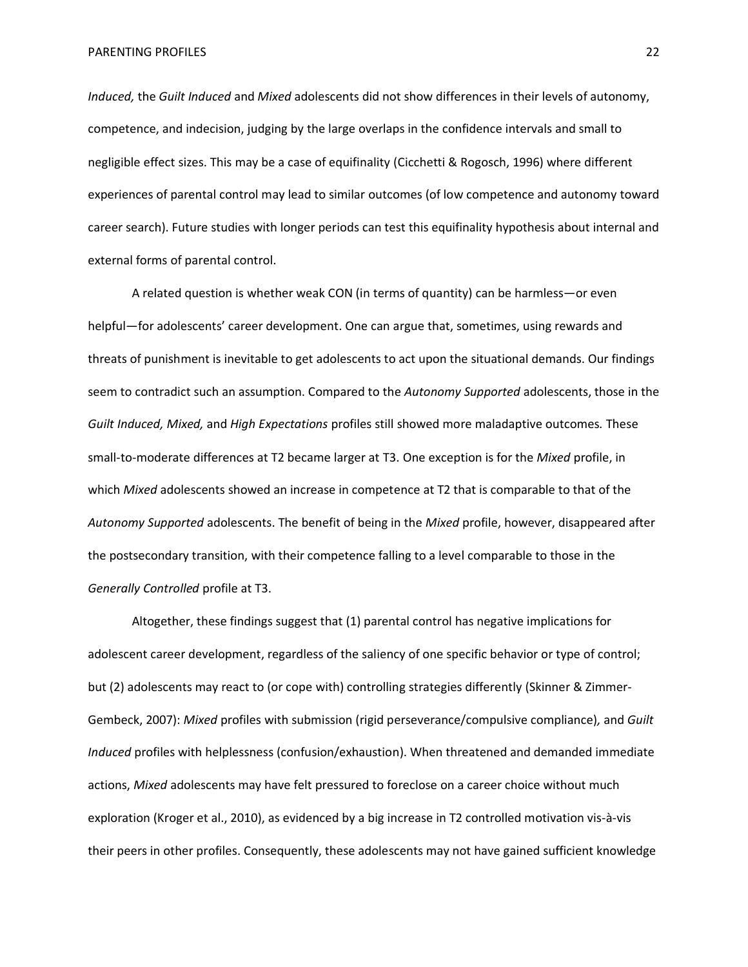*Induced,* the *Guilt Induced* and *Mixed* adolescents did not show differences in their levels of autonomy, competence, and indecision, judging by the large overlaps in the confidence intervals and small to negligible effect sizes. This may be a case of equifinality (Cicchetti & Rogosch, 1996) where different experiences of parental control may lead to similar outcomes (of low competence and autonomy toward career search). Future studies with longer periods can test this equifinality hypothesis about internal and external forms of parental control.

A related question is whether weak CON (in terms of quantity) can be harmless—or even helpful—for adolescents' career development. One can argue that, sometimes, using rewards and threats of punishment is inevitable to get adolescents to act upon the situational demands. Our findings seem to contradict such an assumption. Compared to the *Autonomy Supported* adolescents, those in the *Guilt Induced, Mixed,* and *High Expectations* profiles still showed more maladaptive outcomes*.* These small-to-moderate differences at T2 became larger at T3. One exception is for the *Mixed* profile, in which *Mixed* adolescents showed an increase in competence at T2 that is comparable to that of the *Autonomy Supported* adolescents. The benefit of being in the *Mixed* profile, however, disappeared after the postsecondary transition, with their competence falling to a level comparable to those in the *Generally Controlled* profile at T3.

Altogether, these findings suggest that (1) parental control has negative implications for adolescent career development, regardless of the saliency of one specific behavior or type of control; but (2) adolescents may react to (or cope with) controlling strategies differently (Skinner & Zimmer-Gembeck, 2007): *Mixed* profiles with submission (rigid perseverance/compulsive compliance)*,* and *Guilt Induced* profiles with helplessness (confusion/exhaustion). When threatened and demanded immediate actions, *Mixed* adolescents may have felt pressured to foreclose on a career choice without much exploration (Kroger et al., 2010), as evidenced by a big increase in T2 controlled motivation vis-à-vis their peers in other profiles. Consequently, these adolescents may not have gained sufficient knowledge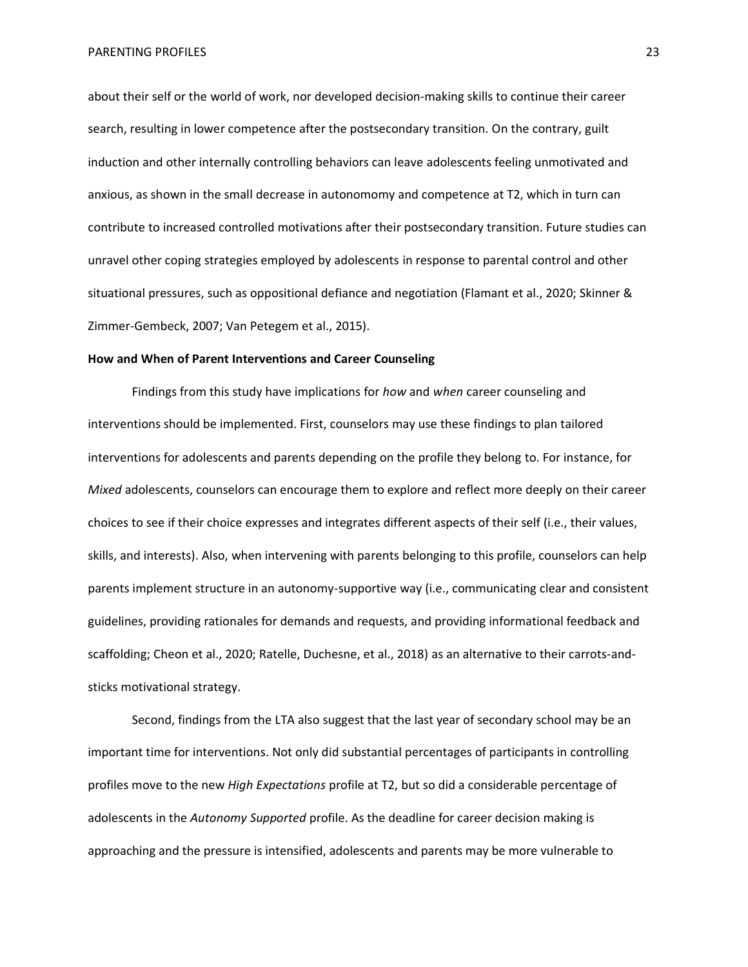about their self or the world of work, nor developed decision-making skills to continue their career search, resulting in lower competence after the postsecondary transition. On the contrary, guilt induction and other internally controlling behaviors can leave adolescents feeling unmotivated and anxious, as shown in the small decrease in autonomomy and competence at T2, which in turn can contribute to increased controlled motivations after their postsecondary transition. Future studies can unravel other coping strategies employed by adolescents in response to parental control and other situational pressures, such as oppositional defiance and negotiation (Flamant et al., 2020; Skinner & Zimmer-Gembeck, 2007; Van Petegem et al., 2015).

# **How and When of Parent Interventions and Career Counseling**

Findings from this study have implications for *how* and *when* career counseling and interventions should be implemented. First, counselors may use these findings to plan tailored interventions for adolescents and parents depending on the profile they belong to. For instance, for *Mixed* adolescents, counselors can encourage them to explore and reflect more deeply on their career choices to see if their choice expresses and integrates different aspects of their self (i.e., their values, skills, and interests). Also, when intervening with parents belonging to this profile, counselors can help parents implement structure in an autonomy-supportive way (i.e., communicating clear and consistent guidelines, providing rationales for demands and requests, and providing informational feedback and scaffolding; Cheon et al., 2020; Ratelle, Duchesne, et al., 2018) as an alternative to their carrots-andsticks motivational strategy.

Second, findings from the LTA also suggest that the last year of secondary school may be an important time for interventions. Not only did substantial percentages of participants in controlling profiles move to the new *High Expectations* profile at T2, but so did a considerable percentage of adolescents in the *Autonomy Supported* profile. As the deadline for career decision making is approaching and the pressure is intensified, adolescents and parents may be more vulnerable to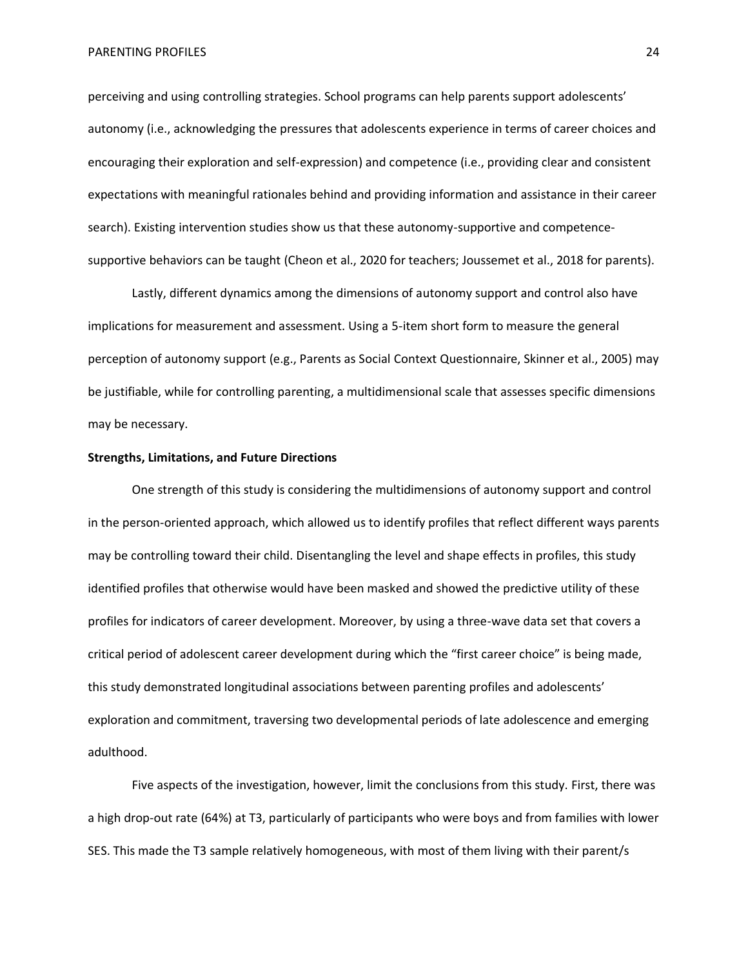perceiving and using controlling strategies. School programs can help parents support adolescents' autonomy (i.e., acknowledging the pressures that adolescents experience in terms of career choices and encouraging their exploration and self-expression) and competence (i.e., providing clear and consistent expectations with meaningful rationales behind and providing information and assistance in their career search). Existing intervention studies show us that these autonomy-supportive and competencesupportive behaviors can be taught (Cheon et al., 2020 for teachers; Joussemet et al., 2018 for parents).

Lastly, different dynamics among the dimensions of autonomy support and control also have implications for measurement and assessment. Using a 5-item short form to measure the general perception of autonomy support (e.g., Parents as Social Context Questionnaire, Skinner et al., 2005) may be justifiable, while for controlling parenting, a multidimensional scale that assesses specific dimensions may be necessary.

## **Strengths, Limitations, and Future Directions**

One strength of this study is considering the multidimensions of autonomy support and control in the person-oriented approach, which allowed us to identify profiles that reflect different ways parents may be controlling toward their child. Disentangling the level and shape effects in profiles, this study identified profiles that otherwise would have been masked and showed the predictive utility of these profiles for indicators of career development. Moreover, by using a three-wave data set that covers a critical period of adolescent career development during which the "first career choice" is being made, this study demonstrated longitudinal associations between parenting profiles and adolescents' exploration and commitment, traversing two developmental periods of late adolescence and emerging adulthood.

Five aspects of the investigation, however, limit the conclusions from this study. First, there was a high drop-out rate (64%) at T3, particularly of participants who were boys and from families with lower SES. This made the T3 sample relatively homogeneous, with most of them living with their parent/s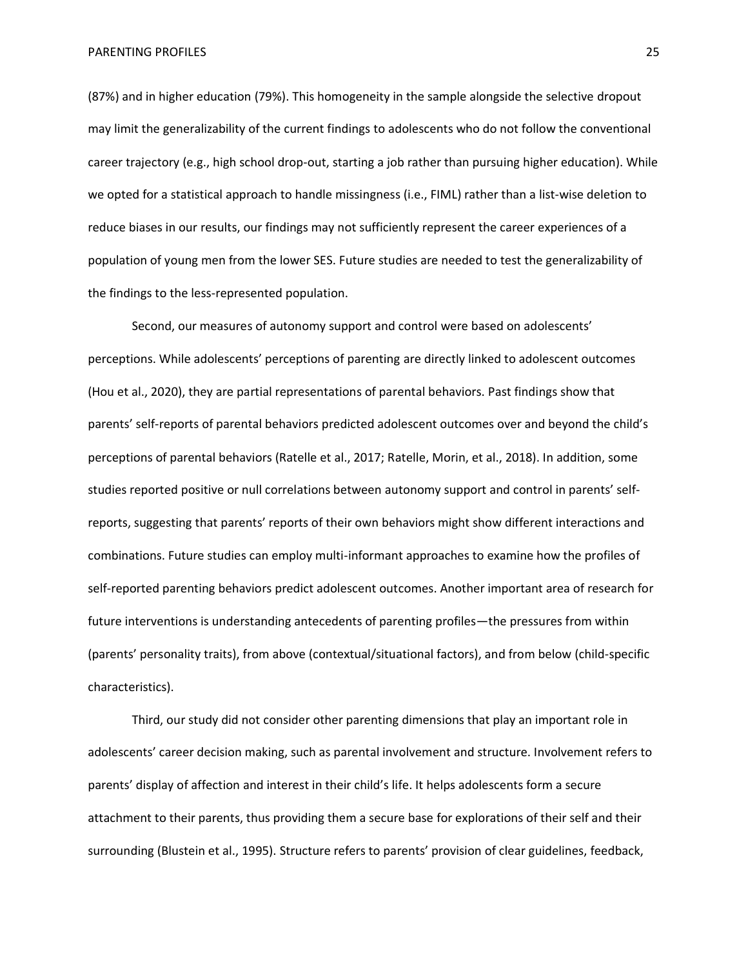(87%) and in higher education (79%). This homogeneity in the sample alongside the selective dropout may limit the generalizability of the current findings to adolescents who do not follow the conventional career trajectory (e.g., high school drop-out, starting a job rather than pursuing higher education). While we opted for a statistical approach to handle missingness (i.e., FIML) rather than a list-wise deletion to reduce biases in our results, our findings may not sufficiently represent the career experiences of a population of young men from the lower SES. Future studies are needed to test the generalizability of the findings to the less-represented population.

Second, our measures of autonomy support and control were based on adolescents' perceptions. While adolescents' perceptions of parenting are directly linked to adolescent outcomes (Hou et al., 2020), they are partial representations of parental behaviors. Past findings show that parents' self-reports of parental behaviors predicted adolescent outcomes over and beyond the child's perceptions of parental behaviors (Ratelle et al., 2017; Ratelle, Morin, et al., 2018). In addition, some studies reported positive or null correlations between autonomy support and control in parents' selfreports, suggesting that parents' reports of their own behaviors might show different interactions and combinations. Future studies can employ multi-informant approaches to examine how the profiles of self-reported parenting behaviors predict adolescent outcomes. Another important area of research for future interventions is understanding antecedents of parenting profiles—the pressures from within (parents' personality traits), from above (contextual/situational factors), and from below (child-specific characteristics).

Third, our study did not consider other parenting dimensions that play an important role in adolescents' career decision making, such as parental involvement and structure. Involvement refers to parents' display of affection and interest in their child's life. It helps adolescents form a secure attachment to their parents, thus providing them a secure base for explorations of their self and their surrounding (Blustein et al., 1995). Structure refers to parents' provision of clear guidelines, feedback,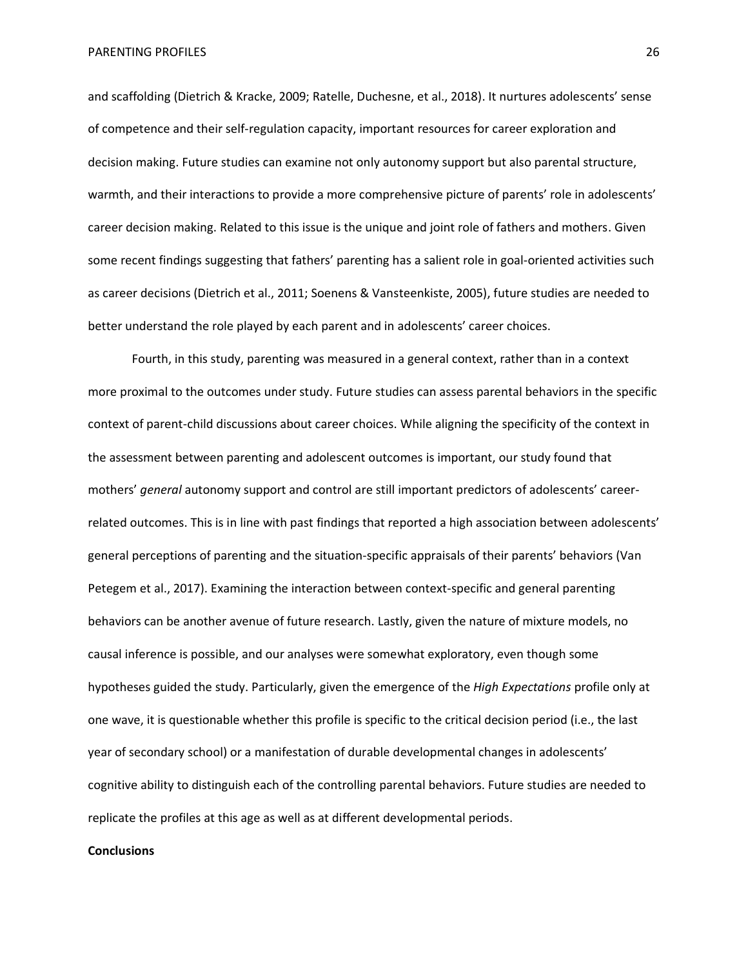and scaffolding (Dietrich & Kracke, 2009; Ratelle, Duchesne, et al., 2018). It nurtures adolescents' sense of competence and their self-regulation capacity, important resources for career exploration and decision making. Future studies can examine not only autonomy support but also parental structure, warmth, and their interactions to provide a more comprehensive picture of parents' role in adolescents' career decision making. Related to this issue is the unique and joint role of fathers and mothers. Given some recent findings suggesting that fathers' parenting has a salient role in goal-oriented activities such as career decisions (Dietrich et al., 2011; Soenens & Vansteenkiste, 2005), future studies are needed to better understand the role played by each parent and in adolescents' career choices.

Fourth, in this study, parenting was measured in a general context, rather than in a context more proximal to the outcomes under study. Future studies can assess parental behaviors in the specific context of parent-child discussions about career choices. While aligning the specificity of the context in the assessment between parenting and adolescent outcomes is important, our study found that mothers' *general* autonomy support and control are still important predictors of adolescents' careerrelated outcomes. This is in line with past findings that reported a high association between adolescents' general perceptions of parenting and the situation-specific appraisals of their parents' behaviors (Van Petegem et al., 2017). Examining the interaction between context-specific and general parenting behaviors can be another avenue of future research. Lastly, given the nature of mixture models, no causal inference is possible, and our analyses were somewhat exploratory, even though some hypotheses guided the study. Particularly, given the emergence of the *High Expectations* profile only at one wave, it is questionable whether this profile is specific to the critical decision period (i.e., the last year of secondary school) or a manifestation of durable developmental changes in adolescents' cognitive ability to distinguish each of the controlling parental behaviors. Future studies are needed to replicate the profiles at this age as well as at different developmental periods.

#### **Conclusions**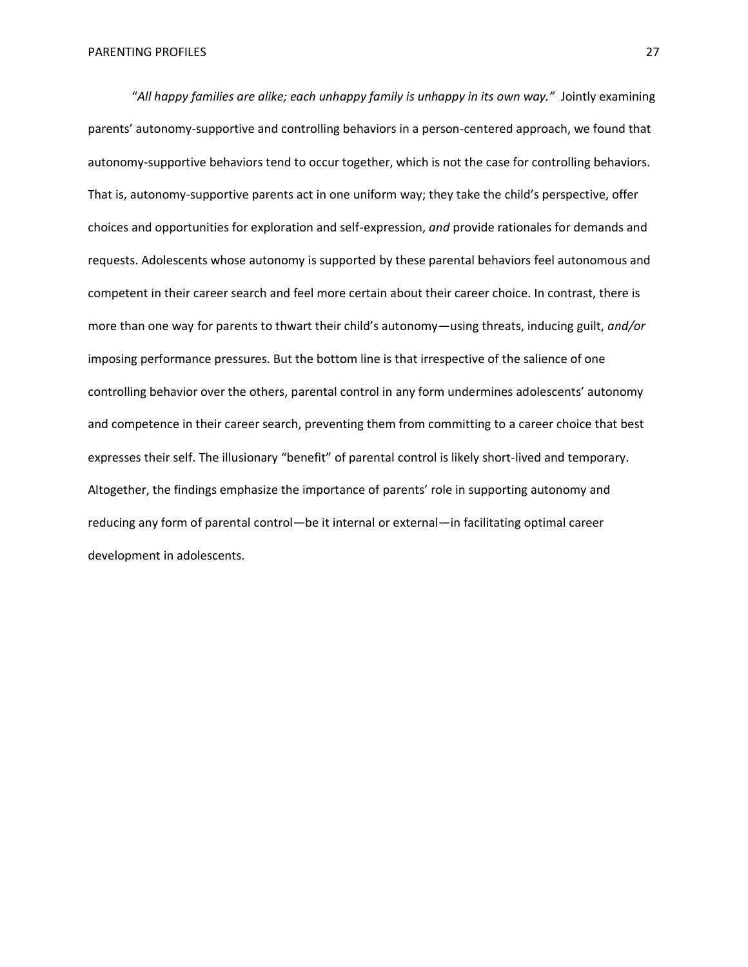"All happy families are alike; each unhappy family is unhappy in its own way." Jointly examining parents' autonomy-supportive and controlling behaviors in a person-centered approach, we found that autonomy-supportive behaviors tend to occur together, which is not the case for controlling behaviors. That is, autonomy-supportive parents act in one uniform way; they take the child's perspective, offer choices and opportunities for exploration and self-expression, *and* provide rationales for demands and requests. Adolescents whose autonomy is supported by these parental behaviors feel autonomous and competent in their career search and feel more certain about their career choice. In contrast, there is more than one way for parents to thwart their child's autonomy—using threats, inducing guilt, *and/or* imposing performance pressures. But the bottom line is that irrespective of the salience of one controlling behavior over the others, parental control in any form undermines adolescents' autonomy and competence in their career search, preventing them from committing to a career choice that best expresses their self. The illusionary "benefit" of parental control is likely short-lived and temporary. Altogether, the findings emphasize the importance of parents' role in supporting autonomy and reducing any form of parental control—be it internal or external—in facilitating optimal career development in adolescents.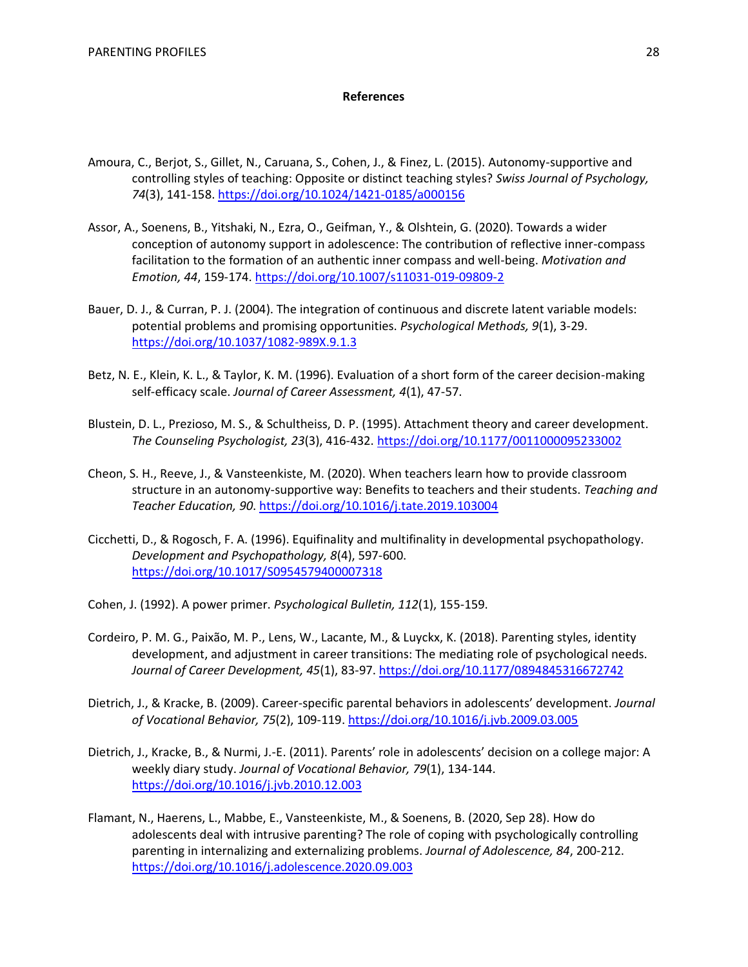# **References**

- Amoura, C., Berjot, S., Gillet, N., Caruana, S., Cohen, J., & Finez, L. (2015). Autonomy-supportive and controlling styles of teaching: Opposite or distinct teaching styles? *Swiss Journal of Psychology, 74*(3), 141-158[. https://doi.org/10.1024/1421-0185/a000156](https://doi.org/10.1024/1421-0185/a000156)
- Assor, A., Soenens, B., Yitshaki, N., Ezra, O., Geifman, Y., & Olshtein, G. (2020). Towards a wider conception of autonomy support in adolescence: The contribution of reflective inner-compass facilitation to the formation of an authentic inner compass and well-being. *Motivation and Emotion, 44*, 159-174.<https://doi.org/10.1007/s11031-019-09809-2>
- Bauer, D. J., & Curran, P. J. (2004). The integration of continuous and discrete latent variable models: potential problems and promising opportunities. *Psychological Methods, 9*(1), 3-29. <https://doi.org/10.1037/1082-989X.9.1.3>
- Betz, N. E., Klein, K. L., & Taylor, K. M. (1996). Evaluation of a short form of the career decision-making self-efficacy scale. *Journal of Career Assessment, 4*(1), 47-57.
- Blustein, D. L., Prezioso, M. S., & Schultheiss, D. P. (1995). Attachment theory and career development. *The Counseling Psychologist, 23*(3), 416-432.<https://doi.org/10.1177/0011000095233002>
- Cheon, S. H., Reeve, J., & Vansteenkiste, M. (2020). When teachers learn how to provide classroom structure in an autonomy-supportive way: Benefits to teachers and their students. *Teaching and Teacher Education, 90*.<https://doi.org/10.1016/j.tate.2019.103004>
- Cicchetti, D., & Rogosch, F. A. (1996). Equifinality and multifinality in developmental psychopathology. *Development and Psychopathology, 8*(4), 597-600. <https://doi.org/10.1017/S0954579400007318>
- Cohen, J. (1992). A power primer. *Psychological Bulletin, 112*(1), 155-159.
- Cordeiro, P. M. G., Paixão, M. P., Lens, W., Lacante, M., & Luyckx, K. (2018). Parenting styles, identity development, and adjustment in career transitions: The mediating role of psychological needs. *Journal of Career Development, 45*(1), 83-97.<https://doi.org/10.1177/0894845316672742>
- Dietrich, J., & Kracke, B. (2009). Career-specific parental behaviors in adolescents' development. *Journal of Vocational Behavior, 75*(2), 109-119.<https://doi.org/10.1016/j.jvb.2009.03.005>
- Dietrich, J., Kracke, B., & Nurmi, J.-E. (2011). Parents' role in adolescents' decision on a college major: A weekly diary study. *Journal of Vocational Behavior, 79*(1), 134-144. <https://doi.org/10.1016/j.jvb.2010.12.003>
- Flamant, N., Haerens, L., Mabbe, E., Vansteenkiste, M., & Soenens, B. (2020, Sep 28). How do adolescents deal with intrusive parenting? The role of coping with psychologically controlling parenting in internalizing and externalizing problems. *Journal of Adolescence, 84*, 200-212. <https://doi.org/10.1016/j.adolescence.2020.09.003>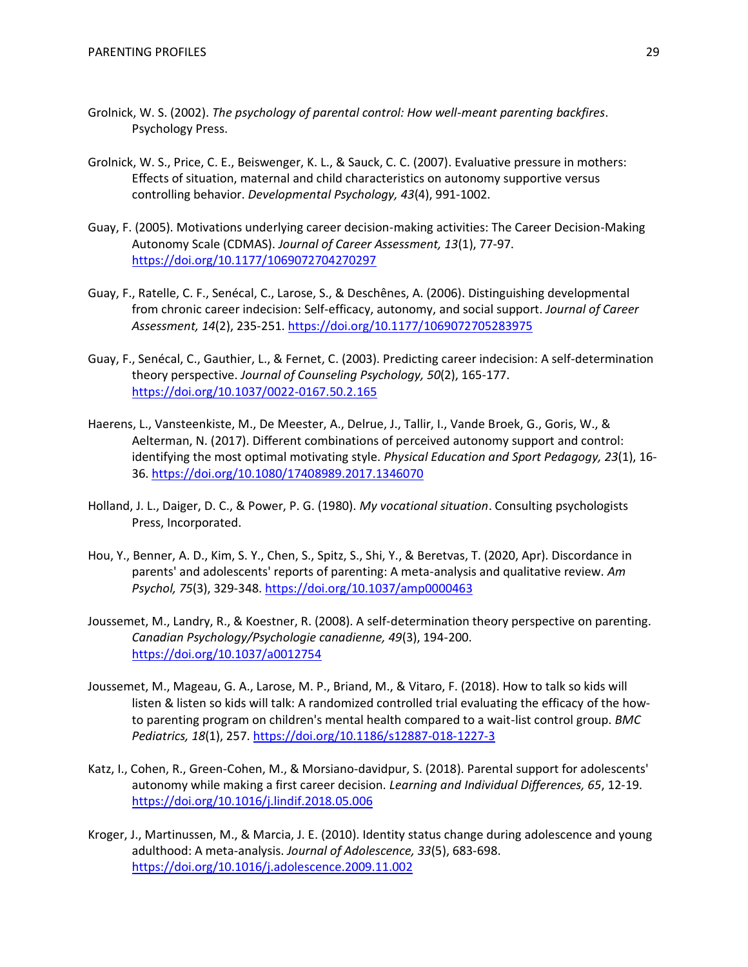- Grolnick, W. S. (2002). *The psychology of parental control: How well-meant parenting backfires*. Psychology Press.
- Grolnick, W. S., Price, C. E., Beiswenger, K. L., & Sauck, C. C. (2007). Evaluative pressure in mothers: Effects of situation, maternal and child characteristics on autonomy supportive versus controlling behavior. *Developmental Psychology, 43*(4), 991-1002.
- Guay, F. (2005). Motivations underlying career decision-making activities: The Career Decision-Making Autonomy Scale (CDMAS). *Journal of Career Assessment, 13*(1), 77-97. <https://doi.org/10.1177/1069072704270297>
- Guay, F., Ratelle, C. F., Senécal, C., Larose, S., & Deschênes, A. (2006). Distinguishing developmental from chronic career indecision: Self-efficacy, autonomy, and social support. *Journal of Career Assessment, 14*(2), 235-251.<https://doi.org/10.1177/1069072705283975>
- Guay, F., Senécal, C., Gauthier, L., & Fernet, C. (2003). Predicting career indecision: A self-determination theory perspective. *Journal of Counseling Psychology, 50*(2), 165-177. <https://doi.org/10.1037/0022-0167.50.2.165>
- Haerens, L., Vansteenkiste, M., De Meester, A., Delrue, J., Tallir, I., Vande Broek, G., Goris, W., & Aelterman, N. (2017). Different combinations of perceived autonomy support and control: identifying the most optimal motivating style. *Physical Education and Sport Pedagogy, 23*(1), 16- 36.<https://doi.org/10.1080/17408989.2017.1346070>
- Holland, J. L., Daiger, D. C., & Power, P. G. (1980). *My vocational situation*. Consulting psychologists Press, Incorporated.
- Hou, Y., Benner, A. D., Kim, S. Y., Chen, S., Spitz, S., Shi, Y., & Beretvas, T. (2020, Apr). Discordance in parents' and adolescents' reports of parenting: A meta-analysis and qualitative review. *Am Psychol, 75*(3), 329-348.<https://doi.org/10.1037/amp0000463>
- Joussemet, M., Landry, R., & Koestner, R. (2008). A self-determination theory perspective on parenting. *Canadian Psychology/Psychologie canadienne, 49*(3), 194-200. <https://doi.org/10.1037/a0012754>
- Joussemet, M., Mageau, G. A., Larose, M. P., Briand, M., & Vitaro, F. (2018). How to talk so kids will listen & listen so kids will talk: A randomized controlled trial evaluating the efficacy of the howto parenting program on children's mental health compared to a wait-list control group. *BMC Pediatrics, 18*(1), 257.<https://doi.org/10.1186/s12887-018-1227-3>
- Katz, I., Cohen, R., Green-Cohen, M., & Morsiano-davidpur, S. (2018). Parental support for adolescents' autonomy while making a first career decision. *Learning and Individual Differences, 65*, 12-19. <https://doi.org/10.1016/j.lindif.2018.05.006>
- Kroger, J., Martinussen, M., & Marcia, J. E. (2010). Identity status change during adolescence and young adulthood: A meta-analysis. *Journal of Adolescence, 33*(5), 683-698. <https://doi.org/10.1016/j.adolescence.2009.11.002>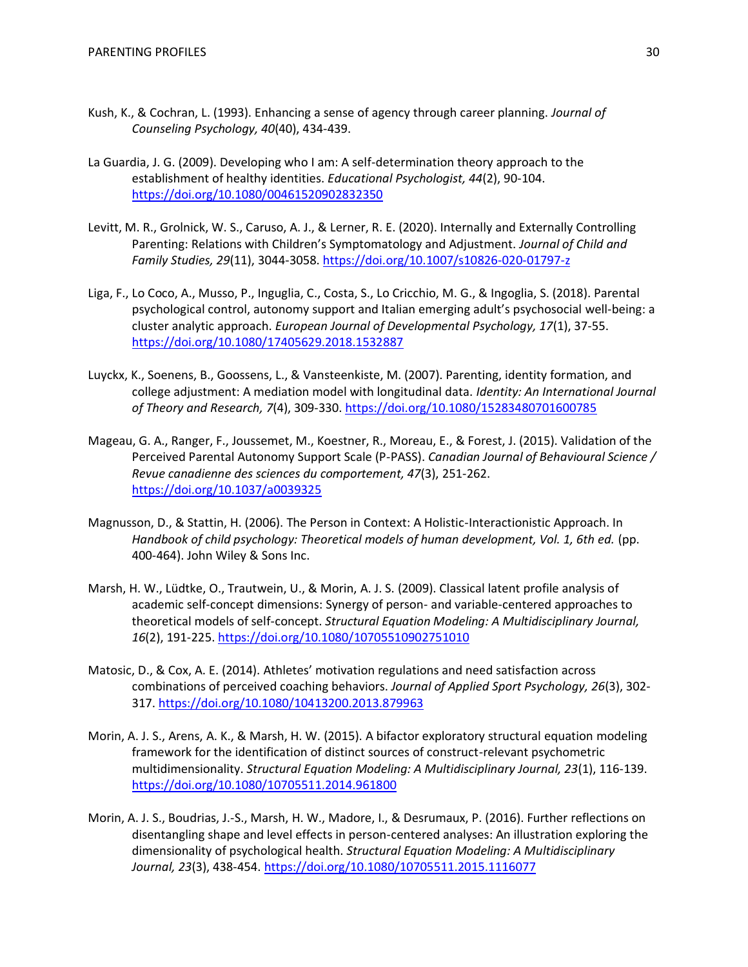- Kush, K., & Cochran, L. (1993). Enhancing a sense of agency through career planning. *Journal of Counseling Psychology, 40*(40), 434-439.
- La Guardia, J. G. (2009). Developing who I am: A self-determination theory approach to the establishment of healthy identities. *Educational Psychologist, 44*(2), 90-104. <https://doi.org/10.1080/00461520902832350>
- Levitt, M. R., Grolnick, W. S., Caruso, A. J., & Lerner, R. E. (2020). Internally and Externally Controlling Parenting: Relations with Children's Symptomatology and Adjustment. *Journal of Child and Family Studies, 29*(11), 3044-3058.<https://doi.org/10.1007/s10826-020-01797-z>
- Liga, F., Lo Coco, A., Musso, P., Inguglia, C., Costa, S., Lo Cricchio, M. G., & Ingoglia, S. (2018). Parental psychological control, autonomy support and Italian emerging adult's psychosocial well-being: a cluster analytic approach. *European Journal of Developmental Psychology, 17*(1), 37-55. <https://doi.org/10.1080/17405629.2018.1532887>
- Luyckx, K., Soenens, B., Goossens, L., & Vansteenkiste, M. (2007). Parenting, identity formation, and college adjustment: A mediation model with longitudinal data. *Identity: An International Journal of Theory and Research, 7*(4), 309-330.<https://doi.org/10.1080/15283480701600785>
- Mageau, G. A., Ranger, F., Joussemet, M., Koestner, R., Moreau, E., & Forest, J. (2015). Validation of the Perceived Parental Autonomy Support Scale (P-PASS). *Canadian Journal of Behavioural Science / Revue canadienne des sciences du comportement, 47*(3), 251-262. <https://doi.org/10.1037/a0039325>
- Magnusson, D., & Stattin, H. (2006). The Person in Context: A Holistic-Interactionistic Approach. In *Handbook of child psychology: Theoretical models of human development, Vol. 1, 6th ed.* (pp. 400-464). John Wiley & Sons Inc.
- Marsh, H. W., Lüdtke, O., Trautwein, U., & Morin, A. J. S. (2009). Classical latent profile analysis of academic self-concept dimensions: Synergy of person- and variable-centered approaches to theoretical models of self-concept. *Structural Equation Modeling: A Multidisciplinary Journal, 16*(2), 191-225[. https://doi.org/10.1080/10705510902751010](https://doi.org/10.1080/10705510902751010)
- Matosic, D., & Cox, A. E. (2014). Athletes' motivation regulations and need satisfaction across combinations of perceived coaching behaviors. *Journal of Applied Sport Psychology, 26*(3), 302- 317.<https://doi.org/10.1080/10413200.2013.879963>
- Morin, A. J. S., Arens, A. K., & Marsh, H. W. (2015). A bifactor exploratory structural equation modeling framework for the identification of distinct sources of construct-relevant psychometric multidimensionality. *Structural Equation Modeling: A Multidisciplinary Journal, 23*(1), 116-139. <https://doi.org/10.1080/10705511.2014.961800>
- Morin, A. J. S., Boudrias, J.-S., Marsh, H. W., Madore, I., & Desrumaux, P. (2016). Further reflections on disentangling shape and level effects in person-centered analyses: An illustration exploring the dimensionality of psychological health. *Structural Equation Modeling: A Multidisciplinary Journal, 23*(3), 438-454.<https://doi.org/10.1080/10705511.2015.1116077>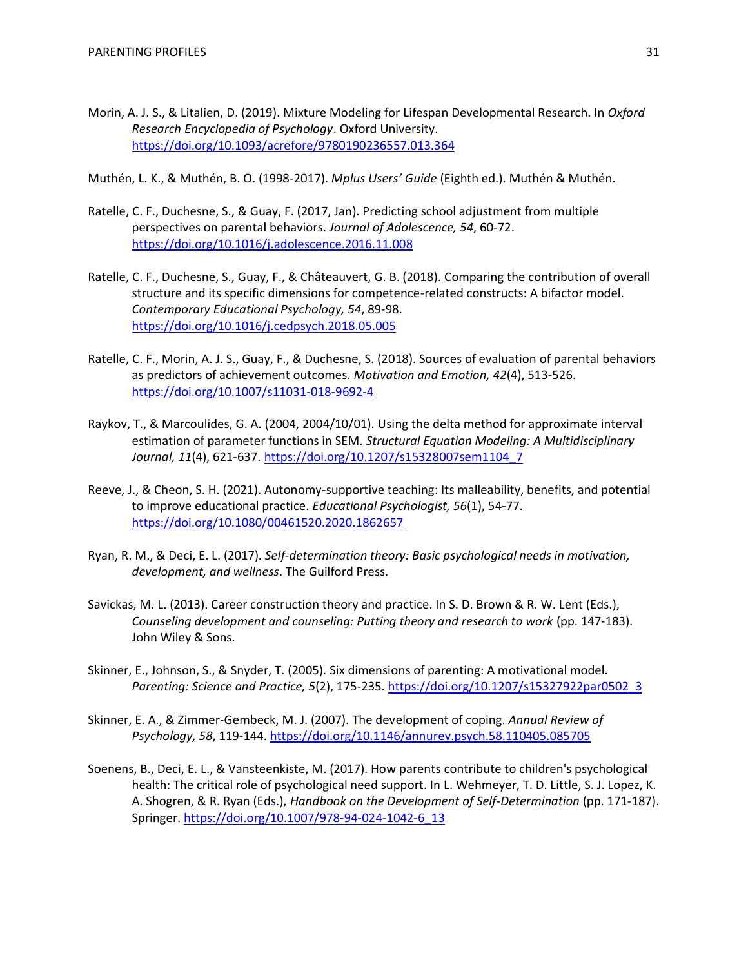Morin, A. J. S., & Litalien, D. (2019). Mixture Modeling for Lifespan Developmental Research. In *Oxford Research Encyclopedia of Psychology*. Oxford University. <https://doi.org/10.1093/acrefore/9780190236557.013.364>

Muthén, L. K., & Muthén, B. O. (1998-2017). *Mplus Users' Guide* (Eighth ed.). Muthén & Muthén.

- Ratelle, C. F., Duchesne, S., & Guay, F. (2017, Jan). Predicting school adjustment from multiple perspectives on parental behaviors. *Journal of Adolescence, 54*, 60-72. <https://doi.org/10.1016/j.adolescence.2016.11.008>
- Ratelle, C. F., Duchesne, S., Guay, F., & Châteauvert, G. B. (2018). Comparing the contribution of overall structure and its specific dimensions for competence-related constructs: A bifactor model. *Contemporary Educational Psychology, 54*, 89-98. <https://doi.org/10.1016/j.cedpsych.2018.05.005>
- Ratelle, C. F., Morin, A. J. S., Guay, F., & Duchesne, S. (2018). Sources of evaluation of parental behaviors as predictors of achievement outcomes. *Motivation and Emotion, 42*(4), 513-526. <https://doi.org/10.1007/s11031-018-9692-4>
- Raykov, T., & Marcoulides, G. A. (2004, 2004/10/01). Using the delta method for approximate interval estimation of parameter functions in SEM. *Structural Equation Modeling: A Multidisciplinary Journal, 11*(4), 621-637. [https://doi.org/10.1207/s15328007sem1104\\_7](https://doi.org/10.1207/s15328007sem1104_7)
- Reeve, J., & Cheon, S. H. (2021). Autonomy-supportive teaching: Its malleability, benefits, and potential to improve educational practice. *Educational Psychologist, 56*(1), 54-77. <https://doi.org/10.1080/00461520.2020.1862657>
- Ryan, R. M., & Deci, E. L. (2017). *Self-determination theory: Basic psychological needs in motivation, development, and wellness*. The Guilford Press.
- Savickas, M. L. (2013). Career construction theory and practice. In S. D. Brown & R. W. Lent (Eds.), *Counseling development and counseling: Putting theory and research to work (pp. 147-183).* John Wiley & Sons.
- Skinner, E., Johnson, S., & Snyder, T. (2005). Six dimensions of parenting: A motivational model. *Parenting: Science and Practice, 5*(2), 175-235. [https://doi.org/10.1207/s15327922par0502\\_3](https://doi.org/10.1207/s15327922par0502_3)
- Skinner, E. A., & Zimmer-Gembeck, M. J. (2007). The development of coping. *Annual Review of Psychology, 58*, 119-144.<https://doi.org/10.1146/annurev.psych.58.110405.085705>
- Soenens, B., Deci, E. L., & Vansteenkiste, M. (2017). How parents contribute to children's psychological health: The critical role of psychological need support. In L. Wehmeyer, T. D. Little, S. J. Lopez, K. A. Shogren, & R. Ryan (Eds.), *Handbook on the Development of Self-Determination* (pp. 171-187). Springer[. https://doi.org/10.1007/978-94-024-1042-6\\_13](https://doi.org/10.1007/978-94-024-1042-6_13)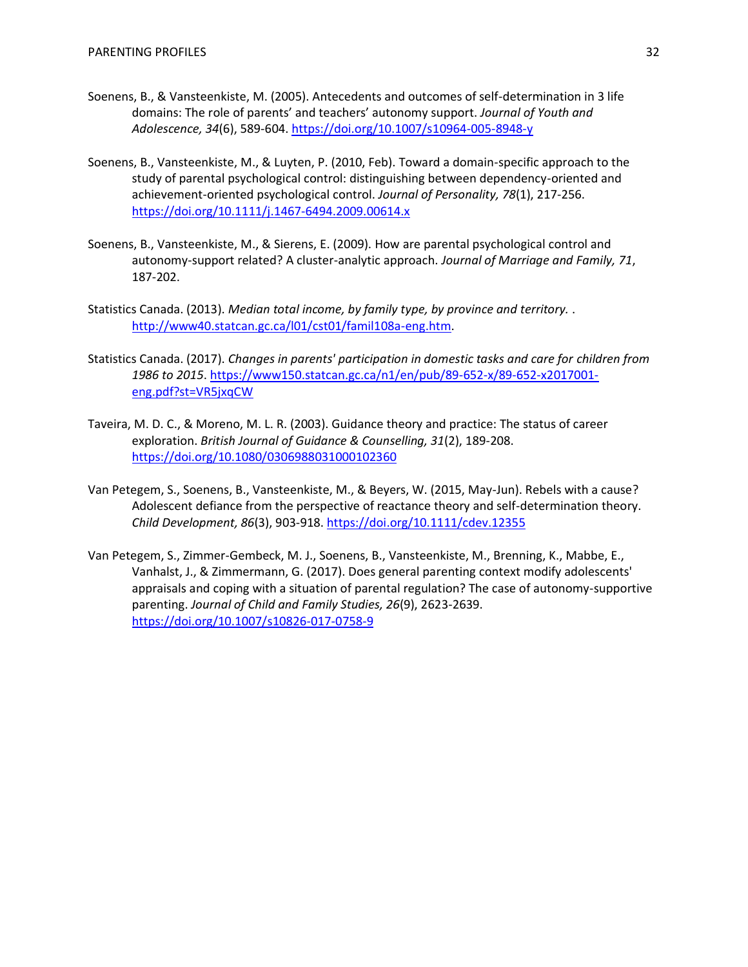- Soenens, B., & Vansteenkiste, M. (2005). Antecedents and outcomes of self-determination in 3 life domains: The role of parents' and teachers' autonomy support. *Journal of Youth and Adolescence, 34*(6), 589-604.<https://doi.org/10.1007/s10964-005-8948-y>
- Soenens, B., Vansteenkiste, M., & Luyten, P. (2010, Feb). Toward a domain-specific approach to the study of parental psychological control: distinguishing between dependency-oriented and achievement-oriented psychological control. *Journal of Personality, 78*(1), 217-256. <https://doi.org/10.1111/j.1467-6494.2009.00614.x>
- Soenens, B., Vansteenkiste, M., & Sierens, E. (2009). How are parental psychological control and autonomy-support related? A cluster-analytic approach. *Journal of Marriage and Family, 71*, 187-202.
- Statistics Canada. (2013). *Median total income, by family type, by province and territory.* . [http://www40.statcan.gc.ca/l01/cst01/famil108a-eng.htm.](http://www40.statcan.gc.ca/l01/cst01/famil108a-eng.htm)
- Statistics Canada. (2017). *Changes in parents' participation in domestic tasks and care for children from 1986 to 2015*. [https://www150.statcan.gc.ca/n1/en/pub/89-652-x/89-652-x2017001](https://www150.statcan.gc.ca/n1/en/pub/89-652-x/89-652-x2017001-eng.pdf?st=VR5jxqCW) [eng.pdf?st=VR5jxqCW](https://www150.statcan.gc.ca/n1/en/pub/89-652-x/89-652-x2017001-eng.pdf?st=VR5jxqCW)
- Taveira, M. D. C., & Moreno, M. L. R. (2003). Guidance theory and practice: The status of career exploration. *British Journal of Guidance & Counselling, 31*(2), 189-208. <https://doi.org/10.1080/0306988031000102360>
- Van Petegem, S., Soenens, B., Vansteenkiste, M., & Beyers, W. (2015, May-Jun). Rebels with a cause? Adolescent defiance from the perspective of reactance theory and self-determination theory. *Child Development, 86*(3), 903-918.<https://doi.org/10.1111/cdev.12355>
- Van Petegem, S., Zimmer-Gembeck, M. J., Soenens, B., Vansteenkiste, M., Brenning, K., Mabbe, E., Vanhalst, J., & Zimmermann, G. (2017). Does general parenting context modify adolescents' appraisals and coping with a situation of parental regulation? The case of autonomy-supportive parenting. *Journal of Child and Family Studies, 26*(9), 2623-2639. <https://doi.org/10.1007/s10826-017-0758-9>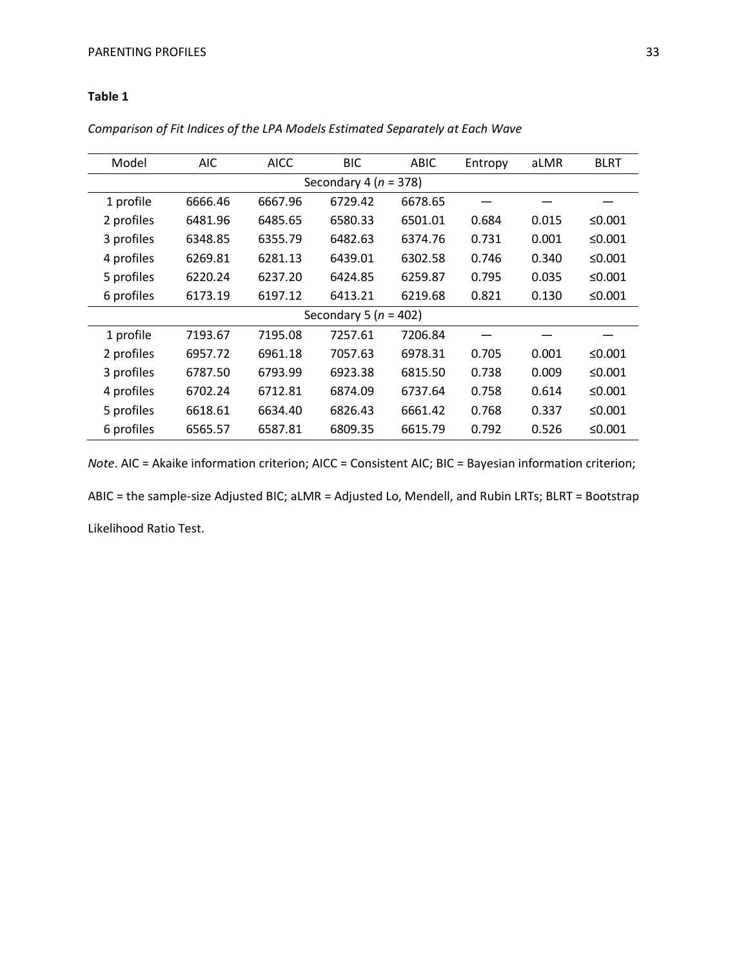# **Table 1**

| Model                     | AIC     | <b>AICC</b> | <b>BIC</b> | <b>ABIC</b> | Entropy | aLMR  | <b>BLRT</b> |
|---------------------------|---------|-------------|------------|-------------|---------|-------|-------------|
| Secondary 4 ( $n = 378$ ) |         |             |            |             |         |       |             |
| 1 profile                 | 6666.46 | 6667.96     | 6729.42    | 6678.65     |         |       |             |
| 2 profiles                | 6481.96 | 6485.65     | 6580.33    | 6501.01     | 0.684   | 0.015 | ≤0.001      |
| 3 profiles                | 6348.85 | 6355.79     | 6482.63    | 6374.76     | 0.731   | 0.001 | ≤0.001      |
| 4 profiles                | 6269.81 | 6281.13     | 6439.01    | 6302.58     | 0.746   | 0.340 | ≤0.001      |
| 5 profiles                | 6220.24 | 6237.20     | 6424.85    | 6259.87     | 0.795   | 0.035 | ≤0.001      |
| 6 profiles                | 6173.19 | 6197.12     | 6413.21    | 6219.68     | 0.821   | 0.130 | ≤0.001      |
| Secondary 5 ( $n = 402$ ) |         |             |            |             |         |       |             |
| 1 profile                 | 7193.67 | 7195.08     | 7257.61    | 7206.84     |         |       |             |
| 2 profiles                | 6957.72 | 6961.18     | 7057.63    | 6978.31     | 0.705   | 0.001 | ≤0.001      |
| 3 profiles                | 6787.50 | 6793.99     | 6923.38    | 6815.50     | 0.738   | 0.009 | ≤0.001      |
| 4 profiles                | 6702.24 | 6712.81     | 6874.09    | 6737.64     | 0.758   | 0.614 | ≤0.001      |
| 5 profiles                | 6618.61 | 6634.40     | 6826.43    | 6661.42     | 0.768   | 0.337 | ≤0.001      |
| 6 profiles                | 6565.57 | 6587.81     | 6809.35    | 6615.79     | 0.792   | 0.526 | ≤0.001      |

*Comparison of Fit Indices of the LPA Models Estimated Separately at Each Wave*

*Note*. AIC = Akaike information criterion; AICC = Consistent AIC; BIC = Bayesian information criterion; ABIC = the sample-size Adjusted BIC; aLMR = Adjusted Lo, Mendell, and Rubin LRTs; BLRT = Bootstrap

Likelihood Ratio Test.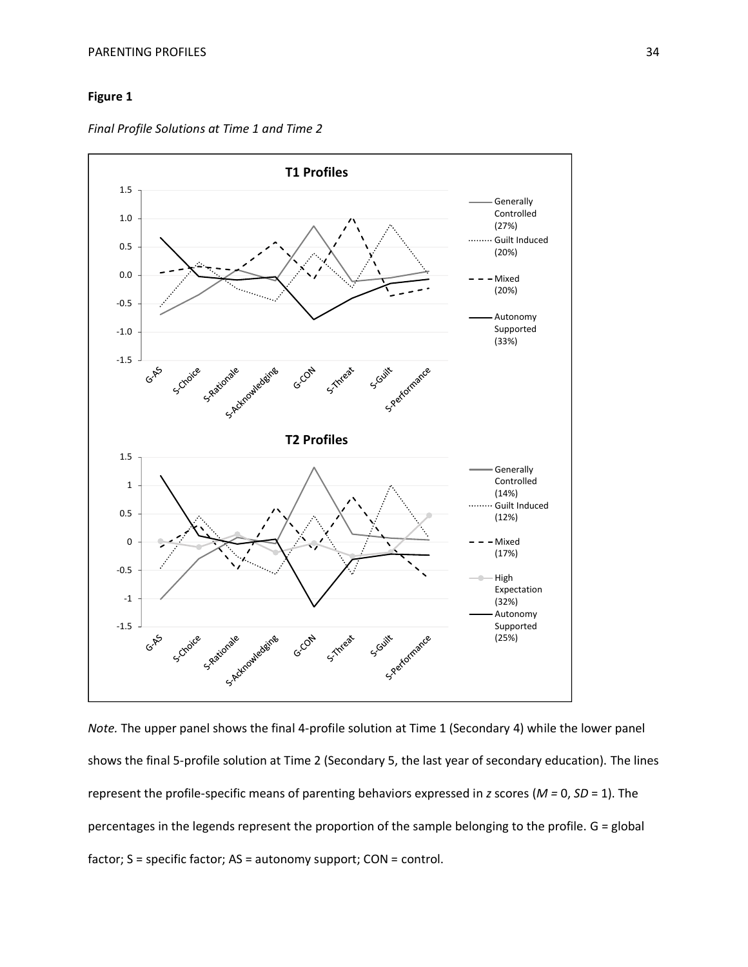# **Figure 1**

*Final Profile Solutions at Time 1 and Time 2*



*Note.* The upper panel shows the final 4-profile solution at Time 1 (Secondary 4) while the lower panel shows the final 5-profile solution at Time 2 (Secondary 5, the last year of secondary education). The lines represent the profile-specific means of parenting behaviors expressed in *z* scores (*M =* 0, *SD* = 1). The percentages in the legends represent the proportion of the sample belonging to the profile. G = global factor; S = specific factor; AS = autonomy support; CON = control.